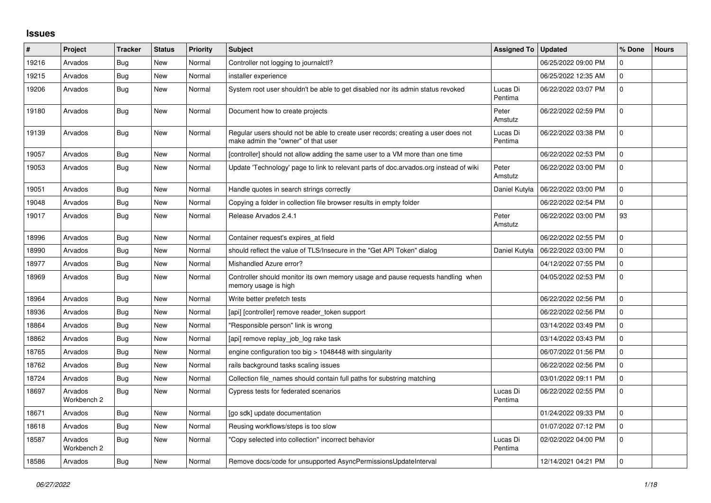## **Issues**

| $\#$  | Project                | <b>Tracker</b> | <b>Status</b> | <b>Priority</b> | <b>Subject</b>                                                                                                           | <b>Assigned To</b>  | <b>Updated</b>      | % Done      | <b>Hours</b> |
|-------|------------------------|----------------|---------------|-----------------|--------------------------------------------------------------------------------------------------------------------------|---------------------|---------------------|-------------|--------------|
| 19216 | Arvados                | Bug            | <b>New</b>    | Normal          | Controller not logging to journalctl?                                                                                    |                     | 06/25/2022 09:00 PM | $\mathbf 0$ |              |
| 19215 | Arvados                | <b>Bug</b>     | New           | Normal          | installer experience                                                                                                     |                     | 06/25/2022 12:35 AM | $\mathbf 0$ |              |
| 19206 | Arvados                | Bug            | New           | Normal          | System root user shouldn't be able to get disabled nor its admin status revoked                                          | Lucas Di<br>Pentima | 06/22/2022 03:07 PM | $\mathbf 0$ |              |
| 19180 | Arvados                | <b>Bug</b>     | <b>New</b>    | Normal          | Document how to create projects                                                                                          | Peter<br>Amstutz    | 06/22/2022 02:59 PM | $\Omega$    |              |
| 19139 | Arvados                | Bug            | New           | Normal          | Regular users should not be able to create user records; creating a user does not<br>make admin the "owner" of that user | Lucas Di<br>Pentima | 06/22/2022 03:38 PM | $\Omega$    |              |
| 19057 | Arvados                | <b>Bug</b>     | New           | Normal          | [controller] should not allow adding the same user to a VM more than one time                                            |                     | 06/22/2022 02:53 PM | $\mathbf 0$ |              |
| 19053 | Arvados                | Bug            | New           | Normal          | Update 'Technology' page to link to relevant parts of doc.arvados.org instead of wiki                                    | Peter<br>Amstutz    | 06/22/2022 03:00 PM | $\mathbf 0$ |              |
| 19051 | Arvados                | Bug            | New           | Normal          | Handle quotes in search strings correctly                                                                                | Daniel Kutyła       | 06/22/2022 03:00 PM | $\mathbf 0$ |              |
| 19048 | Arvados                | <b>Bug</b>     | New           | Normal          | Copying a folder in collection file browser results in empty folder                                                      |                     | 06/22/2022 02:54 PM | $\mathbf 0$ |              |
| 19017 | Arvados                | <b>Bug</b>     | New           | Normal          | Release Arvados 2.4.1                                                                                                    | Peter<br>Amstutz    | 06/22/2022 03:00 PM | 93          |              |
| 18996 | Arvados                | Bug            | New           | Normal          | Container request's expires at field                                                                                     |                     | 06/22/2022 02:55 PM | $\mathbf 0$ |              |
| 18990 | Arvados                | <b>Bug</b>     | New           | Normal          | should reflect the value of TLS/Insecure in the "Get API Token" dialog                                                   | Daniel Kutyła       | 06/22/2022 03:00 PM | $\mathbf 0$ |              |
| 18977 | Arvados                | Bug            | New           | Normal          | Mishandled Azure error?                                                                                                  |                     | 04/12/2022 07:55 PM | $\Omega$    |              |
| 18969 | Arvados                | Bug            | New           | Normal          | Controller should monitor its own memory usage and pause requests handling when<br>memory usage is high                  |                     | 04/05/2022 02:53 PM | $\mathbf 0$ |              |
| 18964 | Arvados                | Bug            | <b>New</b>    | Normal          | Write better prefetch tests                                                                                              |                     | 06/22/2022 02:56 PM | $\mathbf 0$ |              |
| 18936 | Arvados                | <b>Bug</b>     | <b>New</b>    | Normal          | [api] [controller] remove reader token support                                                                           |                     | 06/22/2022 02:56 PM | $\mathbf 0$ |              |
| 18864 | Arvados                | <b>Bug</b>     | New           | Normal          | 'Responsible person" link is wrong                                                                                       |                     | 03/14/2022 03:49 PM | $\mathbf 0$ |              |
| 18862 | Arvados                | Bug            | <b>New</b>    | Normal          | [api] remove replay job log rake task                                                                                    |                     | 03/14/2022 03:43 PM | $\mathbf 0$ |              |
| 18765 | Arvados                | <b>Bug</b>     | New           | Normal          | engine configuration too big $> 1048448$ with singularity                                                                |                     | 06/07/2022 01:56 PM | $\mathbf 0$ |              |
| 18762 | Arvados                | Bug            | New           | Normal          | rails background tasks scaling issues                                                                                    |                     | 06/22/2022 02:56 PM | $\mathbf 0$ |              |
| 18724 | Arvados                | Bug            | New           | Normal          | Collection file_names should contain full paths for substring matching                                                   |                     | 03/01/2022 09:11 PM | $\mathbf 0$ |              |
| 18697 | Arvados<br>Workbench 2 | <b>Bug</b>     | New           | Normal          | Cypress tests for federated scenarios                                                                                    | Lucas Di<br>Pentima | 06/22/2022 02:55 PM | $\mathbf 0$ |              |
| 18671 | Arvados                | Bug            | New           | Normal          | [go sdk] update documentation                                                                                            |                     | 01/24/2022 09:33 PM | $\mathbf 0$ |              |
| 18618 | Arvados                | <b>Bug</b>     | <b>New</b>    | Normal          | Reusing workflows/steps is too slow                                                                                      |                     | 01/07/2022 07:12 PM | $\mathbf 0$ |              |
| 18587 | Arvados<br>Workbench 2 | Bug            | New           | Normal          | 'Copy selected into collection" incorrect behavior                                                                       | Lucas Di<br>Pentima | 02/02/2022 04:00 PM | $\Omega$    |              |
| 18586 | Arvados                | <b>Bug</b>     | <b>New</b>    | Normal          | Remove docs/code for unsupported AsyncPermissionsUpdateInterval                                                          |                     | 12/14/2021 04:21 PM | $\mathbf 0$ |              |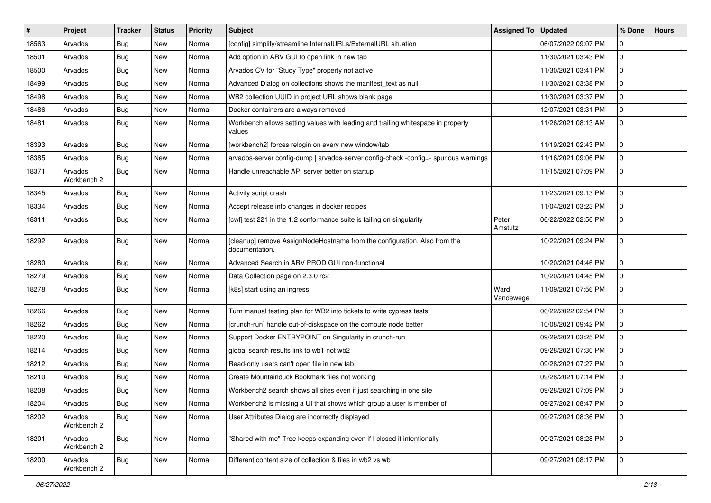| $\sharp$ | Project                | <b>Tracker</b> | <b>Status</b> | <b>Priority</b> | <b>Subject</b>                                                                              | Assigned To   Updated |                     | % Done       | <b>Hours</b> |
|----------|------------------------|----------------|---------------|-----------------|---------------------------------------------------------------------------------------------|-----------------------|---------------------|--------------|--------------|
| 18563    | Arvados                | Bug            | New           | Normal          | [config] simplify/streamline InternalURLs/ExternalURL situation                             |                       | 06/07/2022 09:07 PM | 0            |              |
| 18501    | Arvados                | Bug            | <b>New</b>    | Normal          | Add option in ARV GUI to open link in new tab                                               |                       | 11/30/2021 03:43 PM | $\mathbf 0$  |              |
| 18500    | Arvados                | <b>Bug</b>     | New           | Normal          | Arvados CV for "Study Type" property not active                                             |                       | 11/30/2021 03:41 PM | $\mathbf 0$  |              |
| 18499    | Arvados                | Bug            | New           | Normal          | Advanced Dialog on collections shows the manifest_text as null                              |                       | 11/30/2021 03:38 PM | $\pmb{0}$    |              |
| 18498    | Arvados                | Bug            | <b>New</b>    | Normal          | WB2 collection UUID in project URL shows blank page                                         |                       | 11/30/2021 03:37 PM | 0            |              |
| 18486    | Arvados                | <b>Bug</b>     | New           | Normal          | Docker containers are always removed                                                        |                       | 12/07/2021 03:31 PM | 0            |              |
| 18481    | Arvados                | Bug            | New           | Normal          | Workbench allows setting values with leading and trailing whitespace in property<br>values  |                       | 11/26/2021 08:13 AM | $\mathbf 0$  |              |
| 18393    | Arvados                | Bug            | <b>New</b>    | Normal          | [workbench2] forces relogin on every new window/tab                                         |                       | 11/19/2021 02:43 PM | 0            |              |
| 18385    | Arvados                | Bug            | <b>New</b>    | Normal          | arvados-server config-dump   arvados-server config-check -config=- spurious warnings        |                       | 11/16/2021 09:06 PM | 0            |              |
| 18371    | Arvados<br>Workbench 2 | Bug            | New           | Normal          | Handle unreachable API server better on startup                                             |                       | 11/15/2021 07:09 PM | $\mathbf 0$  |              |
| 18345    | Arvados                | Bug            | <b>New</b>    | Normal          | Activity script crash                                                                       |                       | 11/23/2021 09:13 PM | 0            |              |
| 18334    | Arvados                | Bug            | New           | Normal          | Accept release info changes in docker recipes                                               |                       | 11/04/2021 03:23 PM | $\mathbf 0$  |              |
| 18311    | Arvados                | Bug            | New           | Normal          | [cwl] test 221 in the 1.2 conformance suite is failing on singularity                       | Peter<br>Amstutz      | 06/22/2022 02:56 PM | $\mathbf 0$  |              |
| 18292    | Arvados                | Bug            | <b>New</b>    | Normal          | [cleanup] remove AssignNodeHostname from the configuration. Also from the<br>documentation. |                       | 10/22/2021 09:24 PM | $\mathbf 0$  |              |
| 18280    | Arvados                | Bug            | New           | Normal          | Advanced Search in ARV PROD GUI non-functional                                              |                       | 10/20/2021 04:46 PM | $\mathbf 0$  |              |
| 18279    | Arvados                | <b>Bug</b>     | <b>New</b>    | Normal          | Data Collection page on 2.3.0 rc2                                                           |                       | 10/20/2021 04:45 PM | $\mathbf 0$  |              |
| 18278    | Arvados                | Bug            | <b>New</b>    | Normal          | [k8s] start using an ingress                                                                | Ward<br>Vandewege     | 11/09/2021 07:56 PM | $\mathbf 0$  |              |
| 18266    | Arvados                | Bug            | New           | Normal          | Turn manual testing plan for WB2 into tickets to write cypress tests                        |                       | 06/22/2022 02:54 PM | $\mathbf 0$  |              |
| 18262    | Arvados                | <b>Bug</b>     | New           | Normal          | [crunch-run] handle out-of-diskspace on the compute node better                             |                       | 10/08/2021 09:42 PM | $\mathbf 0$  |              |
| 18220    | Arvados                | Bug            | <b>New</b>    | Normal          | Support Docker ENTRYPOINT on Singularity in crunch-run                                      |                       | 09/29/2021 03:25 PM | 0            |              |
| 18214    | Arvados                | Bug            | New           | Normal          | global search results link to wb1 not wb2                                                   |                       | 09/28/2021 07:30 PM | 0            |              |
| 18212    | Arvados                | <b>Bug</b>     | New           | Normal          | Read-only users can't open file in new tab                                                  |                       | 09/28/2021 07:27 PM | $\mathbf 0$  |              |
| 18210    | Arvados                | Bug            | New           | Normal          | Create Mountainduck Bookmark files not working                                              |                       | 09/28/2021 07:14 PM | $\pmb{0}$    |              |
| 18208    | Arvados                | <b>Bug</b>     | New           | Normal          | Workbench2 search shows all sites even if just searching in one site                        |                       | 09/28/2021 07:09 PM | 0            |              |
| 18204    | Arvados                | Bug            | New           | Normal          | Workbench2 is missing a UI that shows which group a user is member of                       |                       | 09/27/2021 08:47 PM | $\mathbf{0}$ |              |
| 18202    | Arvados<br>Workbench 2 | Bug            | New           | Normal          | User Attributes Dialog are incorrectly displayed                                            |                       | 09/27/2021 08:36 PM | $\mathbf{0}$ |              |
| 18201    | Arvados<br>Workbench 2 | <b>Bug</b>     | New           | Normal          | "Shared with me" Tree keeps expanding even if I closed it intentionally                     |                       | 09/27/2021 08:28 PM | $\pmb{0}$    |              |
| 18200    | Arvados<br>Workbench 2 | <b>Bug</b>     | New           | Normal          | Different content size of collection & files in wb2 vs wb                                   |                       | 09/27/2021 08:17 PM | $\mathbf 0$  |              |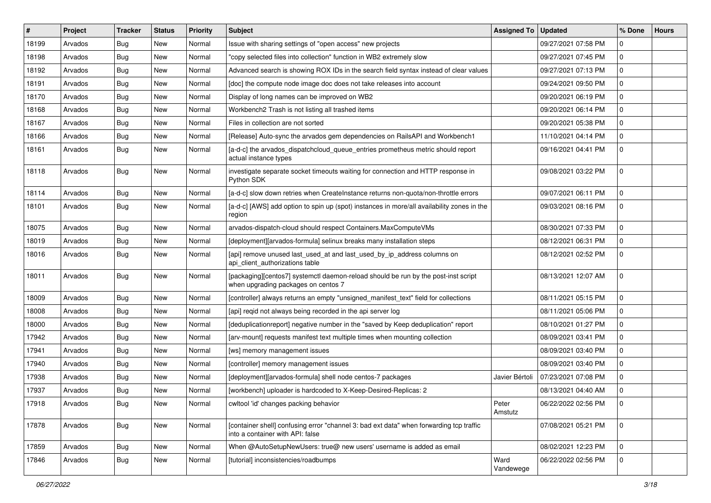| #     | Project | <b>Tracker</b> | <b>Status</b> | <b>Priority</b> | <b>Subject</b>                                                                                                              | Assigned To       | <b>Updated</b>      | % Done      | <b>Hours</b> |
|-------|---------|----------------|---------------|-----------------|-----------------------------------------------------------------------------------------------------------------------------|-------------------|---------------------|-------------|--------------|
| 18199 | Arvados | <b>Bug</b>     | New           | Normal          | Issue with sharing settings of "open access" new projects                                                                   |                   | 09/27/2021 07:58 PM | 0           |              |
| 18198 | Arvados | Bug            | <b>New</b>    | Normal          | "copy selected files into collection" function in WB2 extremely slow                                                        |                   | 09/27/2021 07:45 PM | $\mathbf 0$ |              |
| 18192 | Arvados | <b>Bug</b>     | New           | Normal          | Advanced search is showing ROX IDs in the search field syntax instead of clear values                                       |                   | 09/27/2021 07:13 PM | 0           |              |
| 18191 | Arvados | Bug            | <b>New</b>    | Normal          | [doc] the compute node image doc does not take releases into account                                                        |                   | 09/24/2021 09:50 PM | $\mathbf 0$ |              |
| 18170 | Arvados | Bug            | <b>New</b>    | Normal          | Display of long names can be improved on WB2                                                                                |                   | 09/20/2021 06:19 PM | 0           |              |
| 18168 | Arvados | <b>Bug</b>     | <b>New</b>    | Normal          | Workbench2 Trash is not listing all trashed items                                                                           |                   | 09/20/2021 06:14 PM | $\mathbf 0$ |              |
| 18167 | Arvados | <b>Bug</b>     | <b>New</b>    | Normal          | Files in collection are not sorted                                                                                          |                   | 09/20/2021 05:38 PM | $\mathbf 0$ |              |
| 18166 | Arvados | Bug            | New           | Normal          | [Release] Auto-sync the arvados gem dependencies on RailsAPI and Workbench1                                                 |                   | 11/10/2021 04:14 PM | $\mathbf 0$ |              |
| 18161 | Arvados | <b>Bug</b>     | New           | Normal          | [a-d-c] the arvados_dispatchcloud_queue_entries prometheus metric should report<br>actual instance types                    |                   | 09/16/2021 04:41 PM | $\mathbf 0$ |              |
| 18118 | Arvados | <b>Bug</b>     | New           | Normal          | investigate separate socket timeouts waiting for connection and HTTP response in<br>Python SDK                              |                   | 09/08/2021 03:22 PM | $\mathbf 0$ |              |
| 18114 | Arvados | Bug            | New           | Normal          | [a-d-c] slow down retries when CreateInstance returns non-quota/non-throttle errors                                         |                   | 09/07/2021 06:11 PM | 0           |              |
| 18101 | Arvados | <b>Bug</b>     | New           | Normal          | [a-d-c] [AWS] add option to spin up (spot) instances in more/all availability zones in the<br>region                        |                   | 09/03/2021 08:16 PM | $\mathbf 0$ |              |
| 18075 | Arvados | <b>Bug</b>     | <b>New</b>    | Normal          | arvados-dispatch-cloud should respect Containers.MaxComputeVMs                                                              |                   | 08/30/2021 07:33 PM | $\mathbf 0$ |              |
| 18019 | Arvados | <b>Bug</b>     | <b>New</b>    | Normal          | [deployment][arvados-formula] selinux breaks many installation steps                                                        |                   | 08/12/2021 06:31 PM | $\mathbf 0$ |              |
| 18016 | Arvados | <b>Bug</b>     | New           | Normal          | [api] remove unused last_used_at and last_used_by_ip_address columns on<br>api_client_authorizations table                  |                   | 08/12/2021 02:52 PM | $\mathbf 0$ |              |
| 18011 | Arvados | Bug            | <b>New</b>    | Normal          | [packaging][centos7] systemctl daemon-reload should be run by the post-inst script<br>when upgrading packages on centos 7   |                   | 08/13/2021 12:07 AM | $\mathbf 0$ |              |
| 18009 | Arvados | <b>Bug</b>     | New           | Normal          | [controller] always returns an empty "unsigned manifest text" field for collections                                         |                   | 08/11/2021 05:15 PM | $\mathbf 0$ |              |
| 18008 | Arvados | <b>Bug</b>     | New           | Normal          | [api] reqid not always being recorded in the api server log                                                                 |                   | 08/11/2021 05:06 PM | $\mathbf 0$ |              |
| 18000 | Arvados | Bug            | <b>New</b>    | Normal          | [deduplicationreport] negative number in the "saved by Keep deduplication" report                                           |                   | 08/10/2021 01:27 PM | $\mathbf 0$ |              |
| 17942 | Arvados | <b>Bug</b>     | New           | Normal          | [arv-mount] requests manifest text multiple times when mounting collection                                                  |                   | 08/09/2021 03:41 PM | $\mathbf 0$ |              |
| 17941 | Arvados | <b>Bug</b>     | <b>New</b>    | Normal          | [ws] memory management issues                                                                                               |                   | 08/09/2021 03:40 PM | $\mathbf 0$ |              |
| 17940 | Arvados | <b>Bug</b>     | New           | Normal          | [controller] memory management issues                                                                                       |                   | 08/09/2021 03:40 PM | 0           |              |
| 17938 | Arvados | <b>Bug</b>     | New           | Normal          | [deployment][arvados-formula] shell node centos-7 packages                                                                  | Javier Bértoli    | 07/23/2021 07:08 PM | $\mathbf 0$ |              |
| 17937 | Arvados | <b>Bug</b>     | <b>New</b>    | Normal          | [workbench] uploader is hardcoded to X-Keep-Desired-Replicas: 2                                                             |                   | 08/13/2021 04:40 AM | 0           |              |
| 17918 | Arvados | Bug            | New           | Normal          | cwltool 'id' changes packing behavior                                                                                       | Peter<br>Amstutz  | 06/22/2022 02:56 PM | 0           |              |
| 17878 | Arvados | Bug            | New           | Normal          | [container shell] confusing error "channel 3: bad ext data" when forwarding tcp traffic<br>into a container with API: false |                   | 07/08/2021 05:21 PM | $\mathbf 0$ |              |
| 17859 | Arvados | Bug            | <b>New</b>    | Normal          | When @AutoSetupNewUsers: true@ new users' username is added as email                                                        |                   | 08/02/2021 12:23 PM | $\mathbf 0$ |              |
| 17846 | Arvados | <b>Bug</b>     | New           | Normal          | [tutorial] inconsistencies/roadbumps                                                                                        | Ward<br>Vandewege | 06/22/2022 02:56 PM | 0           |              |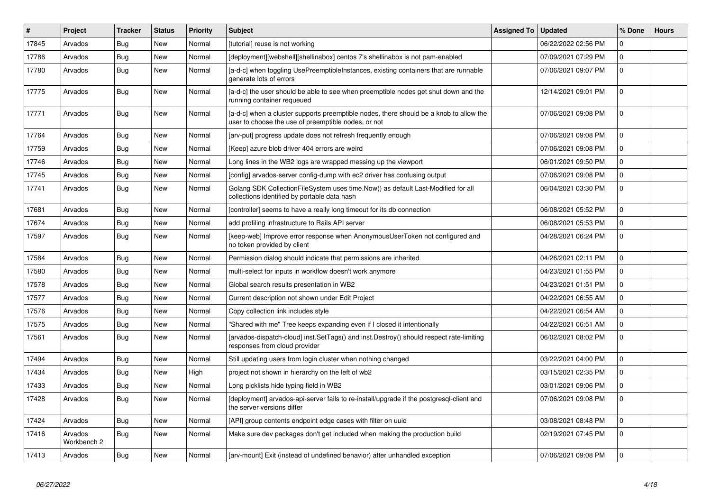| $\vert$ # | Project                | <b>Tracker</b> | <b>Status</b> | Priority | <b>Subject</b>                                                                                                                                | <b>Assigned To</b> | <b>Updated</b>      | % Done      | <b>Hours</b> |
|-----------|------------------------|----------------|---------------|----------|-----------------------------------------------------------------------------------------------------------------------------------------------|--------------------|---------------------|-------------|--------------|
| 17845     | Arvados                | Bug            | New           | Normal   | [tutorial] reuse is not working                                                                                                               |                    | 06/22/2022 02:56 PM | $\mathbf 0$ |              |
| 17786     | Arvados                | <b>Bug</b>     | <b>New</b>    | Normal   | [deployment][webshell][shellinabox] centos 7's shellinabox is not pam-enabled                                                                 |                    | 07/09/2021 07:29 PM | $\mathbf 0$ |              |
| 17780     | Arvados                | Bug            | New           | Normal   | [a-d-c] when toggling UsePreemptibleInstances, existing containers that are runnable<br>generate lots of errors                               |                    | 07/06/2021 09:07 PM | $\mathbf 0$ |              |
| 17775     | Arvados                | Bug            | New           | Normal   | [a-d-c] the user should be able to see when preemptible nodes get shut down and the<br>running container requeued                             |                    | 12/14/2021 09:01 PM | $\mathbf 0$ |              |
| 17771     | Arvados                | <b>Bug</b>     | New           | Normal   | [a-d-c] when a cluster supports preemptible nodes, there should be a knob to allow the<br>user to choose the use of preemptible nodes, or not |                    | 07/06/2021 09:08 PM | $\Omega$    |              |
| 17764     | Arvados                | Bug            | <b>New</b>    | Normal   | [arv-put] progress update does not refresh frequently enough                                                                                  |                    | 07/06/2021 09:08 PM | $\Omega$    |              |
| 17759     | Arvados                | Bug            | New           | Normal   | [Keep] azure blob driver 404 errors are weird                                                                                                 |                    | 07/06/2021 09:08 PM | $\Omega$    |              |
| 17746     | Arvados                | Bug            | <b>New</b>    | Normal   | Long lines in the WB2 logs are wrapped messing up the viewport                                                                                |                    | 06/01/2021 09:50 PM | $\mathbf 0$ |              |
| 17745     | Arvados                | Bug            | <b>New</b>    | Normal   | [config] arvados-server config-dump with ec2 driver has confusing output                                                                      |                    | 07/06/2021 09:08 PM | $\mathbf 0$ |              |
| 17741     | Arvados                | <b>Bug</b>     | New           | Normal   | Golang SDK CollectionFileSystem uses time.Now() as default Last-Modified for all<br>collections identified by portable data hash              |                    | 06/04/2021 03:30 PM | $\Omega$    |              |
| 17681     | Arvados                | Bug            | <b>New</b>    | Normal   | [controller] seems to have a really long timeout for its db connection                                                                        |                    | 06/08/2021 05:52 PM | $\mathbf 0$ |              |
| 17674     | Arvados                | Bug            | <b>New</b>    | Normal   | add profiling infrastructure to Rails API server                                                                                              |                    | 06/08/2021 05:53 PM | $\Omega$    |              |
| 17597     | Arvados                | <b>Bug</b>     | New           | Normal   | [keep-web] Improve error response when AnonymousUserToken not configured and<br>no token provided by client                                   |                    | 04/28/2021 06:24 PM | $\Omega$    |              |
| 17584     | Arvados                | <b>Bug</b>     | <b>New</b>    | Normal   | Permission dialog should indicate that permissions are inherited                                                                              |                    | 04/26/2021 02:11 PM | $\Omega$    |              |
| 17580     | Arvados                | Bug            | <b>New</b>    | Normal   | multi-select for inputs in workflow doesn't work anymore                                                                                      |                    | 04/23/2021 01:55 PM | $\mathbf 0$ |              |
| 17578     | Arvados                | Bug            | <b>New</b>    | Normal   | Global search results presentation in WB2                                                                                                     |                    | 04/23/2021 01:51 PM | $\mathbf 0$ |              |
| 17577     | Arvados                | Bug            | <b>New</b>    | Normal   | Current description not shown under Edit Project                                                                                              |                    | 04/22/2021 06:55 AM | $\mathbf 0$ |              |
| 17576     | Arvados                | Bug            | <b>New</b>    | Normal   | Copy collection link includes style                                                                                                           |                    | 04/22/2021 06:54 AM | $\Omega$    |              |
| 17575     | Arvados                | Bug            | New           | Normal   | 'Shared with me" Tree keeps expanding even if I closed it intentionally                                                                       |                    | 04/22/2021 06:51 AM | $\mathbf 0$ |              |
| 17561     | Arvados                | Bug            | <b>New</b>    | Normal   | [arvados-dispatch-cloud] inst.SetTags() and inst.Destroy() should respect rate-limiting<br>responses from cloud provider                      |                    | 06/02/2021 08:02 PM | $\Omega$    |              |
| 17494     | Arvados                | Bug            | <b>New</b>    | Normal   | Still updating users from login cluster when nothing changed                                                                                  |                    | 03/22/2021 04:00 PM | $\mathbf 0$ |              |
| 17434     | Arvados                | <b>Bug</b>     | <b>New</b>    | High     | project not shown in hierarchy on the left of wb2                                                                                             |                    | 03/15/2021 02:35 PM | $\mathbf 0$ |              |
| 17433     | Arvados                | Bug            | <b>New</b>    | Normal   | Long picklists hide typing field in WB2                                                                                                       |                    | 03/01/2021 09:06 PM | $\mathbf 0$ |              |
| 17428     | Arvados                | Bug            | <b>New</b>    | Normal   | [deployment] arvados-api-server fails to re-install/upgrade if the postgresql-client and<br>the server versions differ                        |                    | 07/06/2021 09:08 PM | $\Omega$    |              |
| 17424     | Arvados                | Bug            | <b>New</b>    | Normal   | [API] group contents endpoint edge cases with filter on uuid                                                                                  |                    | 03/08/2021 08:48 PM | $\mathbf 0$ |              |
| 17416     | Arvados<br>Workbench 2 | Bug            | New           | Normal   | Make sure dev packages don't get included when making the production build                                                                    |                    | 02/19/2021 07:45 PM | $\mathbf 0$ |              |
| 17413     | Arvados                | Bug            | New           | Normal   | [arv-mount] Exit (instead of undefined behavior) after unhandled exception                                                                    |                    | 07/06/2021 09:08 PM | $\mathbf 0$ |              |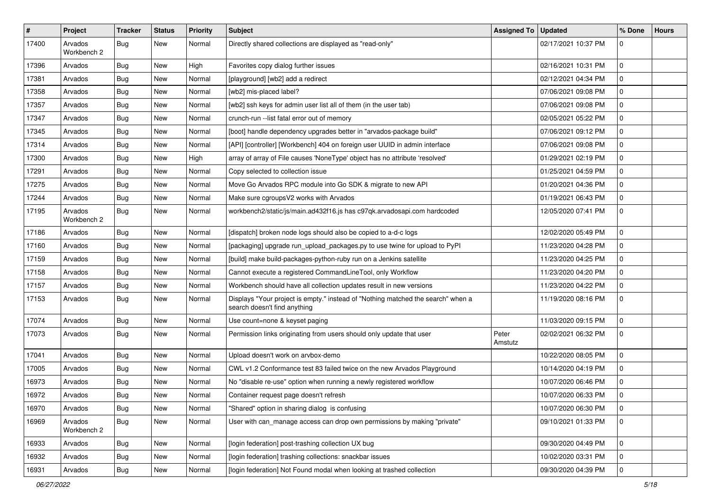| #     | <b>Project</b>         | <b>Tracker</b> | <b>Status</b> | Priority | Subject                                                                                                          | <b>Assigned To</b> | <b>Updated</b>      | % Done      | <b>Hours</b> |
|-------|------------------------|----------------|---------------|----------|------------------------------------------------------------------------------------------------------------------|--------------------|---------------------|-------------|--------------|
| 17400 | Arvados<br>Workbench 2 | Bug            | New           | Normal   | Directly shared collections are displayed as "read-only"                                                         |                    | 02/17/2021 10:37 PM | $\mathbf 0$ |              |
| 17396 | Arvados                | <b>Bug</b>     | New           | High     | Favorites copy dialog further issues                                                                             |                    | 02/16/2021 10:31 PM | $\mathbf 0$ |              |
| 17381 | Arvados                | Bug            | New           | Normal   | [playground] [wb2] add a redirect                                                                                |                    | 02/12/2021 04:34 PM | $\mathbf 0$ |              |
| 17358 | Arvados                | Bug            | New           | Normal   | [wb2] mis-placed label?                                                                                          |                    | 07/06/2021 09:08 PM | $\mathbf 0$ |              |
| 17357 | Arvados                | <b>Bug</b>     | New           | Normal   | [wb2] ssh keys for admin user list all of them (in the user tab)                                                 |                    | 07/06/2021 09:08 PM | 0           |              |
| 17347 | Arvados                | Bug            | New           | Normal   | crunch-run -- list fatal error out of memory                                                                     |                    | 02/05/2021 05:22 PM | $\mathbf 0$ |              |
| 17345 | Arvados                | <b>Bug</b>     | New           | Normal   | [boot] handle dependency upgrades better in "arvados-package build"                                              |                    | 07/06/2021 09:12 PM | $\mathbf 0$ |              |
| 17314 | Arvados                | <b>Bug</b>     | New           | Normal   | [API] [controller] [Workbench] 404 on foreign user UUID in admin interface                                       |                    | 07/06/2021 09:08 PM | $\mathbf 0$ |              |
| 17300 | Arvados                | <b>Bug</b>     | New           | High     | array of array of File causes 'NoneType' object has no attribute 'resolved'                                      |                    | 01/29/2021 02:19 PM | 0           |              |
| 17291 | Arvados                | <b>Bug</b>     | New           | Normal   | Copy selected to collection issue                                                                                |                    | 01/25/2021 04:59 PM | $\mathbf 0$ |              |
| 17275 | Arvados                | Bug            | New           | Normal   | Move Go Arvados RPC module into Go SDK & migrate to new API                                                      |                    | 01/20/2021 04:36 PM | $\mathbf 0$ |              |
| 17244 | Arvados                | <b>Bug</b>     | New           | Normal   | Make sure cgroupsV2 works with Arvados                                                                           |                    | 01/19/2021 06:43 PM | $\mathbf 0$ |              |
| 17195 | Arvados<br>Workbench 2 | Bug            | New           | Normal   | workbench2/static/js/main.ad432f16.js has c97qk.arvadosapi.com hardcoded                                         |                    | 12/05/2020 07:41 PM | $\mathbf 0$ |              |
| 17186 | Arvados                | Bug            | New           | Normal   | [dispatch] broken node logs should also be copied to a-d-c logs                                                  |                    | 12/02/2020 05:49 PM | $\mathbf 0$ |              |
| 17160 | Arvados                | Bug            | New           | Normal   | [packaging] upgrade run_upload_packages.py to use twine for upload to PyPI                                       |                    | 11/23/2020 04:28 PM | $\mathbf 0$ |              |
| 17159 | Arvados                | Bug            | New           | Normal   | [build] make build-packages-python-ruby run on a Jenkins satellite                                               |                    | 11/23/2020 04:25 PM | $\mathbf 0$ |              |
| 17158 | Arvados                | <b>Bug</b>     | New           | Normal   | Cannot execute a registered CommandLineTool, only Workflow                                                       |                    | 11/23/2020 04:20 PM | $\mathbf 0$ |              |
| 17157 | Arvados                | Bug            | New           | Normal   | Workbench should have all collection updates result in new versions                                              |                    | 11/23/2020 04:22 PM | $\mathbf 0$ |              |
| 17153 | Arvados                | Bug            | New           | Normal   | Displays "Your project is empty." instead of "Nothing matched the search" when a<br>search doesn't find anything |                    | 11/19/2020 08:16 PM | $\mathbf 0$ |              |
| 17074 | Arvados                | <b>Bug</b>     | New           | Normal   | Use count=none & keyset paging                                                                                   |                    | 11/03/2020 09:15 PM | $\mathbf 0$ |              |
| 17073 | Arvados                | Bug            | New           | Normal   | Permission links originating from users should only update that user                                             | Peter<br>Amstutz   | 02/02/2021 06:32 PM | $\mathbf 0$ |              |
| 17041 | Arvados                | Bug            | New           | Normal   | Upload doesn't work on arvbox-demo                                                                               |                    | 10/22/2020 08:05 PM | $\mathbf 0$ |              |
| 17005 | Arvados                | <b>Bug</b>     | New           | Normal   | CWL v1.2 Conformance test 83 failed twice on the new Arvados Playground                                          |                    | 10/14/2020 04:19 PM | $\mathbf 0$ |              |
| 16973 | Arvados                | Bug            | New           | Normal   | No "disable re-use" option when running a newly registered workflow                                              |                    | 10/07/2020 06:46 PM | $\mathbf 0$ |              |
| 16972 | Arvados                | <b>Bug</b>     | New           | Normal   | Container request page doesn't refresh                                                                           |                    | 10/07/2020 06:33 PM | $\mathbf 0$ |              |
| 16970 | Arvados                | <b>Bug</b>     | New           | Normal   | "Shared" option in sharing dialog is confusing                                                                   |                    | 10/07/2020 06:30 PM | 0           |              |
| 16969 | Arvados<br>Workbench 2 | Bug            | New           | Normal   | User with can_manage access can drop own permissions by making "private"                                         |                    | 09/10/2021 01:33 PM | $\mathbf 0$ |              |
| 16933 | Arvados                | Bug            | New           | Normal   | [login federation] post-trashing collection UX bug                                                               |                    | 09/30/2020 04:49 PM | $\mathbf 0$ |              |
| 16932 | Arvados                | Bug            | New           | Normal   | [login federation] trashing collections: snackbar issues                                                         |                    | 10/02/2020 03:31 PM | $\mathbf 0$ |              |
| 16931 | Arvados                | <b>Bug</b>     | New           | Normal   | [login federation] Not Found modal when looking at trashed collection                                            |                    | 09/30/2020 04:39 PM | 0           |              |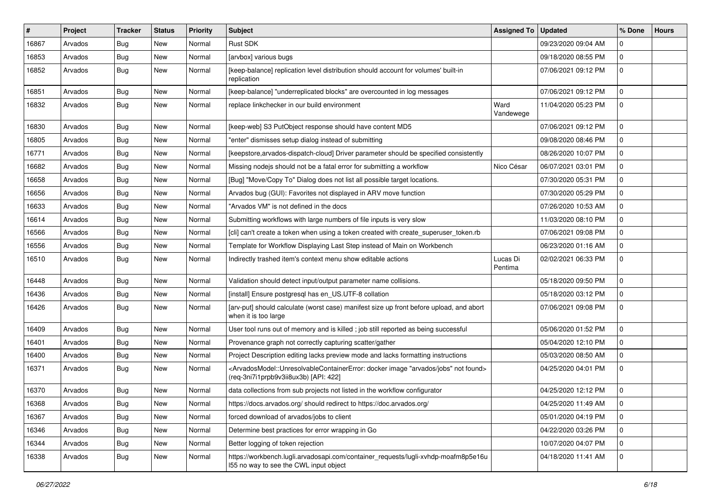| #     | Project | <b>Tracker</b> | <b>Status</b> | <b>Priority</b> | Subject                                                                                                                                                                                   | Assigned To         | <b>Updated</b>      | % Done              | <b>Hours</b> |
|-------|---------|----------------|---------------|-----------------|-------------------------------------------------------------------------------------------------------------------------------------------------------------------------------------------|---------------------|---------------------|---------------------|--------------|
| 16867 | Arvados | <b>Bug</b>     | New           | Normal          | <b>Rust SDK</b>                                                                                                                                                                           |                     | 09/23/2020 09:04 AM | $\mathbf 0$         |              |
| 16853 | Arvados | Bug            | <b>New</b>    | Normal          | [arvbox] various bugs                                                                                                                                                                     |                     | 09/18/2020 08:55 PM | 0                   |              |
| 16852 | Arvados | Bug            | New           | Normal          | [keep-balance] replication level distribution should account for volumes' built-in<br>replication                                                                                         |                     | 07/06/2021 09:12 PM | $\mathbf 0$         |              |
| 16851 | Arvados | <b>Bug</b>     | New           | Normal          | [keep-balance] "underreplicated blocks" are overcounted in log messages                                                                                                                   |                     | 07/06/2021 09:12 PM | 0                   |              |
| 16832 | Arvados | <b>Bug</b>     | New           | Normal          | replace linkchecker in our build environment                                                                                                                                              | Ward<br>Vandewege   | 11/04/2020 05:23 PM | $\mathbf 0$         |              |
| 16830 | Arvados | Bug            | New           | Normal          | [keep-web] S3 PutObject response should have content MD5                                                                                                                                  |                     | 07/06/2021 09:12 PM | $\mathbf 0$         |              |
| 16805 | Arvados | <b>Bug</b>     | New           | Normal          | "enter" dismisses setup dialog instead of submitting                                                                                                                                      |                     | 09/08/2020 08:46 PM | 0                   |              |
| 16771 | Arvados | <b>Bug</b>     | New           | Normal          | [keepstore, arvados-dispatch-cloud] Driver parameter should be specified consistently                                                                                                     |                     | 08/26/2020 10:07 PM | $\mathbf 0$         |              |
| 16682 | Arvados | <b>Bug</b>     | New           | Normal          | Missing nodejs should not be a fatal error for submitting a workflow                                                                                                                      | Nico César          | 06/07/2021 03:01 PM | $\mathbf 0$         |              |
| 16658 | Arvados | Bug            | New           | Normal          | [Bug] "Move/Copy To" Dialog does not list all possible target locations.                                                                                                                  |                     | 07/30/2020 05:31 PM | $\mathbf 0$         |              |
| 16656 | Arvados | Bug            | New           | Normal          | Arvados bug (GUI): Favorites not displayed in ARV move function                                                                                                                           |                     | 07/30/2020 05:29 PM | 0                   |              |
| 16633 | Arvados | <b>Bug</b>     | New           | Normal          | "Arvados VM" is not defined in the docs                                                                                                                                                   |                     | 07/26/2020 10:53 AM | 0                   |              |
| 16614 | Arvados | Bug            | New           | Normal          | Submitting workflows with large numbers of file inputs is very slow                                                                                                                       |                     | 11/03/2020 08:10 PM | $\mathbf 0$         |              |
| 16566 | Arvados | <b>Bug</b>     | New           | Normal          | [cli] can't create a token when using a token created with create_superuser_token.rb                                                                                                      |                     | 07/06/2021 09:08 PM | $\mathbf 0$         |              |
| 16556 | Arvados | <b>Bug</b>     | New           | Normal          | Template for Workflow Displaying Last Step instead of Main on Workbench                                                                                                                   |                     | 06/23/2020 01:16 AM | $\mathbf 0$         |              |
| 16510 | Arvados | Bug            | New           | Normal          | Indirectly trashed item's context menu show editable actions                                                                                                                              | Lucas Di<br>Pentima | 02/02/2021 06:33 PM | 0                   |              |
| 16448 | Arvados | Bug            | New           | Normal          | Validation should detect input/output parameter name collisions.                                                                                                                          |                     | 05/18/2020 09:50 PM | $\mathbf 0$         |              |
| 16436 | Arvados | <b>Bug</b>     | <b>New</b>    | Normal          | [install] Ensure postgresql has en_US.UTF-8 collation                                                                                                                                     |                     | 05/18/2020 03:12 PM | $\mathbf 0$         |              |
| 16426 | Arvados | <b>Bug</b>     | New           | Normal          | [arv-put] should calculate (worst case) manifest size up front before upload, and abort<br>when it is too large                                                                           |                     | 07/06/2021 09:08 PM | $\mathbf 0$         |              |
| 16409 | Arvados | Bug            | New           | Normal          | User tool runs out of memory and is killed; job still reported as being successful                                                                                                        |                     | 05/06/2020 01:52 PM | $\mathbf 0$         |              |
| 16401 | Arvados | <b>Bug</b>     | New           | Normal          | Provenance graph not correctly capturing scatter/gather                                                                                                                                   |                     | 05/04/2020 12:10 PM | 0                   |              |
| 16400 | Arvados | <b>Bug</b>     | New           | Normal          | Project Description editing lacks preview mode and lacks formatting instructions                                                                                                          |                     | 05/03/2020 08:50 AM | $\mathbf 0$         |              |
| 16371 | Arvados | <b>Bug</b>     | New           | Normal          | <arvadosmodel::unresolvablecontainererror: "arvados="" docker="" found="" image="" jobs"="" not=""><br/>(req-3ni7i1prpb9v3ii8ux3b) [API: 422]</arvadosmodel::unresolvablecontainererror:> |                     | 04/25/2020 04:01 PM | $\mathbf 0$         |              |
| 16370 | Arvados | <b>Bug</b>     | New           | Normal          | data collections from sub projects not listed in the workflow configurator                                                                                                                |                     | 04/25/2020 12:12 PM | $\mathbf 0$         |              |
| 16368 | Arvados | Bug            | New           | Normal          | https://docs.arvados.org/ should redirect to https://doc.arvados.org/                                                                                                                     |                     | 04/25/2020 11:49 AM | 0                   |              |
| 16367 | Arvados | Bug            | New           | Normal          | forced download of arvados/jobs to client                                                                                                                                                 |                     | 05/01/2020 04:19 PM | $\mathbf 0$         |              |
| 16346 | Arvados | <b>Bug</b>     | New           | Normal          | Determine best practices for error wrapping in Go                                                                                                                                         |                     | 04/22/2020 03:26 PM | $\mathbf 0$         |              |
| 16344 | Arvados | <b>Bug</b>     | New           | Normal          | Better logging of token rejection                                                                                                                                                         |                     | 10/07/2020 04:07 PM | $\mathsf{O}\xspace$ |              |
| 16338 | Arvados | <b>Bug</b>     | New           | Normal          | https://workbench.lugli.arvadosapi.com/container_requests/lugli-xvhdp-moafm8p5e16u<br>155 no way to see the CWL input object                                                              |                     | 04/18/2020 11:41 AM | 0                   |              |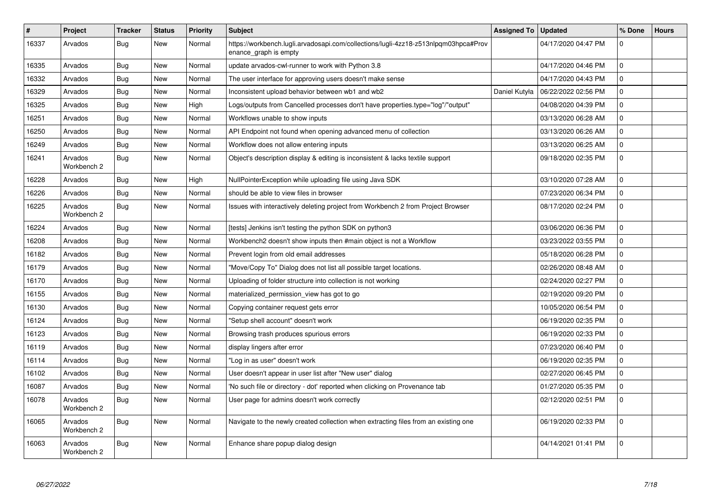| #     | Project                | <b>Tracker</b> | <b>Status</b> | <b>Priority</b> | <b>Subject</b>                                                                                               | Assigned To   | <b>Updated</b>      | % Done      | <b>Hours</b> |
|-------|------------------------|----------------|---------------|-----------------|--------------------------------------------------------------------------------------------------------------|---------------|---------------------|-------------|--------------|
| 16337 | Arvados                | <b>Bug</b>     | New           | Normal          | https://workbench.lugli.arvadosapi.com/collections/lugli-4zz18-z513nlpqm03hpca#Prov<br>enance graph is empty |               | 04/17/2020 04:47 PM | $\Omega$    |              |
| 16335 | Arvados                | <b>Bug</b>     | <b>New</b>    | Normal          | update arvados-cwl-runner to work with Python 3.8                                                            |               | 04/17/2020 04:46 PM | $\Omega$    |              |
| 16332 | Arvados                | Bug            | New           | Normal          | The user interface for approving users doesn't make sense                                                    |               | 04/17/2020 04:43 PM | 0           |              |
| 16329 | Arvados                | Bug            | New           | Normal          | Inconsistent upload behavior between wb1 and wb2                                                             | Daniel Kutyła | 06/22/2022 02:56 PM | $\mathbf 0$ |              |
| 16325 | Arvados                | <b>Bug</b>     | New           | High            | Logs/outputs from Cancelled processes don't have properties.type="log"/"output"                              |               | 04/08/2020 04:39 PM | 0           |              |
| 16251 | Arvados                | Bug            | New           | Normal          | Workflows unable to show inputs                                                                              |               | 03/13/2020 06:28 AM | 0           |              |
| 16250 | Arvados                | <b>Bug</b>     | New           | Normal          | API Endpoint not found when opening advanced menu of collection                                              |               | 03/13/2020 06:26 AM | 0           |              |
| 16249 | Arvados                | Bug            | New           | Normal          | Workflow does not allow entering inputs                                                                      |               | 03/13/2020 06:25 AM | 0           |              |
| 16241 | Arvados<br>Workbench 2 | Bug            | New           | Normal          | Object's description display & editing is inconsistent & lacks textile support                               |               | 09/18/2020 02:35 PM | $\Omega$    |              |
| 16228 | Arvados                | <b>Bug</b>     | New           | High            | NullPointerException while uploading file using Java SDK                                                     |               | 03/10/2020 07:28 AM | $\Omega$    |              |
| 16226 | Arvados                | <b>Bug</b>     | <b>New</b>    | Normal          | should be able to view files in browser                                                                      |               | 07/23/2020 06:34 PM | $\Omega$    |              |
| 16225 | Arvados<br>Workbench 2 | Bug            | <b>New</b>    | Normal          | Issues with interactively deleting project from Workbench 2 from Project Browser                             |               | 08/17/2020 02:24 PM | 0           |              |
| 16224 | Arvados                | <b>Bug</b>     | New           | Normal          | [tests] Jenkins isn't testing the python SDK on python3                                                      |               | 03/06/2020 06:36 PM | $\Omega$    |              |
| 16208 | Arvados                | Bug            | <b>New</b>    | Normal          | Workbench2 doesn't show inputs then #main object is not a Workflow                                           |               | 03/23/2022 03:55 PM | 0           |              |
| 16182 | Arvados                | <b>Bug</b>     | <b>New</b>    | Normal          | Prevent login from old email addresses                                                                       |               | 05/18/2020 06:28 PM | $\Omega$    |              |
| 16179 | Arvados                | Bug            | New           | Normal          | "Move/Copy To" Dialog does not list all possible target locations.                                           |               | 02/26/2020 08:48 AM | 0           |              |
| 16170 | Arvados                | <b>Bug</b>     | New           | Normal          | Uploading of folder structure into collection is not working                                                 |               | 02/24/2020 02:27 PM | $\Omega$    |              |
| 16155 | Arvados                | <b>Bug</b>     | New           | Normal          | materialized_permission_view has got to go                                                                   |               | 02/19/2020 09:20 PM | $\Omega$    |              |
| 16130 | Arvados                | Bug            | New           | Normal          | Copying container request gets error                                                                         |               | 10/05/2020 06:54 PM | $\mathbf 0$ |              |
| 16124 | Arvados                | <b>Bug</b>     | New           | Normal          | 'Setup shell account" doesn't work                                                                           |               | 06/19/2020 02:35 PM | $\Omega$    |              |
| 16123 | Arvados                | Bug            | New           | Normal          | Browsing trash produces spurious errors                                                                      |               | 06/19/2020 02:33 PM | $\mathbf 0$ |              |
| 16119 | Arvados                | <b>Bug</b>     | <b>New</b>    | Normal          | display lingers after error                                                                                  |               | 07/23/2020 06:40 PM | $\Omega$    |              |
| 16114 | Arvados                | Bug            | New           | Normal          | "Log in as user" doesn't work                                                                                |               | 06/19/2020 02:35 PM | $\Omega$    |              |
| 16102 | Arvados                | Bug            | New           | Normal          | User doesn't appear in user list after "New user" dialog                                                     |               | 02/27/2020 06:45 PM | $\mathbf 0$ |              |
| 16087 | Arvados                | <b>Bug</b>     | <b>New</b>    | Normal          | 'No such file or directory - dot' reported when clicking on Provenance tab                                   |               | 01/27/2020 05:35 PM | $\Omega$    |              |
| 16078 | Arvados<br>Workbench 2 | <b>Bug</b>     | New           | Normal          | User page for admins doesn't work correctly                                                                  |               | 02/12/2020 02:51 PM | $\Omega$    |              |
| 16065 | Arvados<br>Workbench 2 | Bug            | New           | Normal          | Navigate to the newly created collection when extracting files from an existing one                          |               | 06/19/2020 02:33 PM | 0           |              |
| 16063 | Arvados<br>Workbench 2 | Bug            | New           | Normal          | Enhance share popup dialog design                                                                            |               | 04/14/2021 01:41 PM | $\Omega$    |              |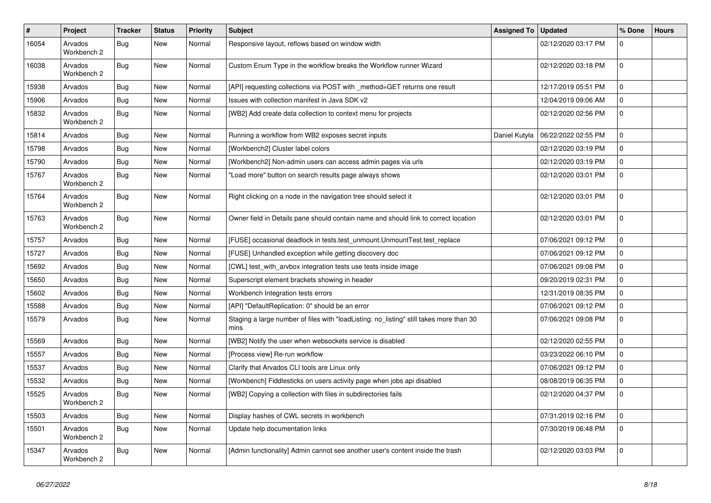| $\pmb{\#}$ | Project                | <b>Tracker</b> | <b>Status</b> | <b>Priority</b> | <b>Subject</b>                                                                                  | <b>Assigned To</b> | Updated             | % Done      | <b>Hours</b> |
|------------|------------------------|----------------|---------------|-----------------|-------------------------------------------------------------------------------------------------|--------------------|---------------------|-------------|--------------|
| 16054      | Arvados<br>Workbench 2 | Bug            | New           | Normal          | Responsive layout, reflows based on window width                                                |                    | 02/12/2020 03:17 PM | $\Omega$    |              |
| 16038      | Arvados<br>Workbench 2 | Bug            | New           | Normal          | Custom Enum Type in the workflow breaks the Workflow runner Wizard                              |                    | 02/12/2020 03:18 PM | $\Omega$    |              |
| 15938      | Arvados                | Bug            | <b>New</b>    | Normal          | [API] requesting collections via POST with _method=GET returns one result                       |                    | 12/17/2019 05:51 PM | $\Omega$    |              |
| 15906      | Arvados                | Bug            | New           | Normal          | Issues with collection manifest in Java SDK v2                                                  |                    | 12/04/2019 09:06 AM | $\Omega$    |              |
| 15832      | Arvados<br>Workbench 2 | Bug            | New           | Normal          | [WB2] Add create data collection to context menu for projects                                   |                    | 02/12/2020 02:56 PM | $\mathbf 0$ |              |
| 15814      | Arvados                | Bug            | New           | Normal          | Running a workflow from WB2 exposes secret inputs                                               | Daniel Kutyła      | 06/22/2022 02:55 PM | $\Omega$    |              |
| 15798      | Arvados                | Bug            | New           | Normal          | [Workbench2] Cluster label colors                                                               |                    | 02/12/2020 03:19 PM | $\mathbf 0$ |              |
| 15790      | Arvados                | <b>Bug</b>     | New           | Normal          | [Workbench2] Non-admin users can access admin pages via urls                                    |                    | 02/12/2020 03:19 PM | $\Omega$    |              |
| 15767      | Arvados<br>Workbench 2 | <b>Bug</b>     | New           | Normal          | "Load more" button on search results page always shows                                          |                    | 02/12/2020 03:01 PM | $\Omega$    |              |
| 15764      | Arvados<br>Workbench 2 | Bug            | New           | Normal          | Right clicking on a node in the navigation tree should select it                                |                    | 02/12/2020 03:01 PM | $\Omega$    |              |
| 15763      | Arvados<br>Workbench 2 | Bug            | New           | Normal          | Owner field in Details pane should contain name and should link to correct location             |                    | 02/12/2020 03:01 PM | $\Omega$    |              |
| 15757      | Arvados                | <b>Bug</b>     | New           | Normal          | [FUSE] occasional deadlock in tests.test unmount.UnmountTest.test replace                       |                    | 07/06/2021 09:12 PM | $\mathsf 0$ |              |
| 15727      | Arvados                | <b>Bug</b>     | New           | Normal          | [FUSE] Unhandled exception while getting discovery doc                                          |                    | 07/06/2021 09:12 PM | $\Omega$    |              |
| 15692      | Arvados                | Bug            | New           | Normal          | [CWL] test with arvbox integration tests use tests inside image                                 |                    | 07/06/2021 09:08 PM | $\Omega$    |              |
| 15650      | Arvados                | Bug            | New           | Normal          | Superscript element brackets showing in header                                                  |                    | 09/20/2019 02:31 PM | $\mathbf 0$ |              |
| 15602      | Arvados                | Bug            | New           | Normal          | Workbench Integration tests errors                                                              |                    | 12/31/2019 08:35 PM | $\mathbf 0$ |              |
| 15588      | Arvados                | Bug            | New           | Normal          | [API] "DefaultReplication: 0" should be an error                                                |                    | 07/06/2021 09:12 PM | $\mathbf 0$ |              |
| 15579      | Arvados                | <b>Bug</b>     | New           | Normal          | Staging a large number of files with "loadListing: no_listing" still takes more than 30<br>mins |                    | 07/06/2021 09:08 PM | $\Omega$    |              |
| 15569      | Arvados                | <b>Bug</b>     | New           | Normal          | [WB2] Notify the user when websockets service is disabled                                       |                    | 02/12/2020 02:55 PM | $\Omega$    |              |
| 15557      | Arvados                | <b>Bug</b>     | New           | Normal          | [Process view] Re-run workflow                                                                  |                    | 03/23/2022 06:10 PM | $\Omega$    |              |
| 15537      | Arvados                | <b>Bug</b>     | New           | Normal          | Clarify that Arvados CLI tools are Linux only                                                   |                    | 07/06/2021 09:12 PM | $\Omega$    |              |
| 15532      | Arvados                | Bug            | New           | Normal          | [Workbench] Fiddlesticks on users activity page when jobs api disabled                          |                    | 08/08/2019 06:35 PM | $\mathbf 0$ |              |
| 15525      | Arvados<br>Workbench 2 | Bug            | New           | Normal          | [WB2] Copying a collection with files in subdirectories fails                                   |                    | 02/12/2020 04:37 PM | $\Omega$    |              |
| 15503      | Arvados                | <b>Bug</b>     | New           | Normal          | Display hashes of CWL secrets in workbench                                                      |                    | 07/31/2019 02:16 PM | $\mathbf 0$ |              |
| 15501      | Arvados<br>Workbench 2 | Bug            | New           | Normal          | Update help documentation links                                                                 |                    | 07/30/2019 06:48 PM | $\Omega$    |              |
| 15347      | Arvados<br>Workbench 2 | <b>Bug</b>     | New           | Normal          | [Admin functionality] Admin cannot see another user's content inside the trash                  |                    | 02/12/2020 03:03 PM | $\Omega$    |              |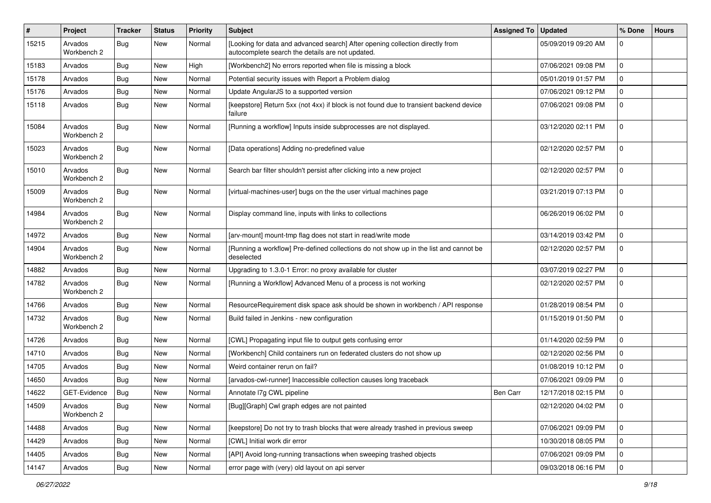| #     | <b>Project</b>         | <b>Tracker</b> | <b>Status</b> | <b>Priority</b> | <b>Subject</b>                                                                                                                    | Assigned To | <b>Updated</b>      | % Done              | <b>Hours</b> |
|-------|------------------------|----------------|---------------|-----------------|-----------------------------------------------------------------------------------------------------------------------------------|-------------|---------------------|---------------------|--------------|
| 15215 | Arvados<br>Workbench 2 | <b>Bug</b>     | New           | Normal          | [Looking for data and advanced search] After opening collection directly from<br>autocomplete search the details are not updated. |             | 05/09/2019 09:20 AM | 0                   |              |
| 15183 | Arvados                | <b>Bug</b>     | New           | High            | [Workbench2] No errors reported when file is missing a block                                                                      |             | 07/06/2021 09:08 PM | $\mathbf 0$         |              |
| 15178 | Arvados                | Bug            | New           | Normal          | Potential security issues with Report a Problem dialog                                                                            |             | 05/01/2019 01:57 PM | $\mathbf 0$         |              |
| 15176 | Arvados                | Bug            | <b>New</b>    | Normal          | Update AngularJS to a supported version                                                                                           |             | 07/06/2021 09:12 PM | 0                   |              |
| 15118 | Arvados                | <b>Bug</b>     | New           | Normal          | [keepstore] Return 5xx (not 4xx) if block is not found due to transient backend device<br>failure                                 |             | 07/06/2021 09:08 PM | 0                   |              |
| 15084 | Arvados<br>Workbench 2 | Bug            | New           | Normal          | [Running a workflow] Inputs inside subprocesses are not displayed.                                                                |             | 03/12/2020 02:11 PM | $\mathbf 0$         |              |
| 15023 | Arvados<br>Workbench 2 | <b>Bug</b>     | New           | Normal          | [Data operations] Adding no-predefined value                                                                                      |             | 02/12/2020 02:57 PM | $\mathbf 0$         |              |
| 15010 | Arvados<br>Workbench 2 | <b>Bug</b>     | New           | Normal          | Search bar filter shouldn't persist after clicking into a new project                                                             |             | 02/12/2020 02:57 PM | $\mathbf 0$         |              |
| 15009 | Arvados<br>Workbench 2 | <b>Bug</b>     | <b>New</b>    | Normal          | [virtual-machines-user] bugs on the the user virtual machines page                                                                |             | 03/21/2019 07:13 PM | $\Omega$            |              |
| 14984 | Arvados<br>Workbench 2 | <b>Bug</b>     | <b>New</b>    | Normal          | Display command line, inputs with links to collections                                                                            |             | 06/26/2019 06:02 PM | 0                   |              |
| 14972 | Arvados                | Bug            | New           | Normal          | [arv-mount] mount-tmp flag does not start in read/write mode                                                                      |             | 03/14/2019 03:42 PM | $\mathbf 0$         |              |
| 14904 | Arvados<br>Workbench 2 | Bug            | New           | Normal          | [Running a workflow] Pre-defined collections do not show up in the list and cannot be<br>deselected                               |             | 02/12/2020 02:57 PM | $\mathbf 0$         |              |
| 14882 | Arvados                | <b>Bug</b>     | <b>New</b>    | Normal          | Upgrading to 1.3.0-1 Error: no proxy available for cluster                                                                        |             | 03/07/2019 02:27 PM | $\mathbf 0$         |              |
| 14782 | Arvados<br>Workbench 2 | <b>Bug</b>     | New           | Normal          | [Running a Workflow] Advanced Menu of a process is not working                                                                    |             | 02/12/2020 02:57 PM | $\mathbf 0$         |              |
| 14766 | Arvados                | Bug            | New           | Normal          | ResourceRequirement disk space ask should be shown in workbench / API response                                                    |             | 01/28/2019 08:54 PM | 0                   |              |
| 14732 | Arvados<br>Workbench 2 | <b>Bug</b>     | New           | Normal          | Build failed in Jenkins - new configuration                                                                                       |             | 01/15/2019 01:50 PM | $\mathbf 0$         |              |
| 14726 | Arvados                | <b>Bug</b>     | <b>New</b>    | Normal          | [CWL] Propagating input file to output gets confusing error                                                                       |             | 01/14/2020 02:59 PM | $\mathbf 0$         |              |
| 14710 | Arvados                | <b>Bug</b>     | New           | Normal          | [Workbench] Child containers run on federated clusters do not show up                                                             |             | 02/12/2020 02:56 PM | 0                   |              |
| 14705 | Arvados                | <b>Bug</b>     | New           | Normal          | Weird container rerun on fail?                                                                                                    |             | 01/08/2019 10:12 PM | $\mathbf 0$         |              |
| 14650 | Arvados                | <b>Bug</b>     | New           | Normal          | [arvados-cwl-runner] Inaccessible collection causes long traceback                                                                |             | 07/06/2021 09:09 PM | 0                   |              |
| 14622 | GET-Evidence           | <b>Bug</b>     | New           | Normal          | Annotate I7g CWL pipeline                                                                                                         | Ben Carr    | 12/17/2018 02:15 PM | $\mathbf 0$         |              |
| 14509 | Arvados<br>Workbench 2 | Bug            | New           | Normal          | [Bug][Graph] Cwl graph edges are not painted                                                                                      |             | 02/12/2020 04:02 PM | l 0                 |              |
| 14488 | Arvados                | Bug            | New           | Normal          | [keepstore] Do not try to trash blocks that were already trashed in previous sweep                                                |             | 07/06/2021 09:09 PM | 0                   |              |
| 14429 | Arvados                | <b>Bug</b>     | New           | Normal          | [CWL] Initial work dir error                                                                                                      |             | 10/30/2018 08:05 PM | $\mathbf 0$         |              |
| 14405 | Arvados                | <b>Bug</b>     | New           | Normal          | [API] Avoid long-running transactions when sweeping trashed objects                                                               |             | 07/06/2021 09:09 PM | $\mathbf 0$         |              |
| 14147 | Arvados                | Bug            | New           | Normal          | error page with (very) old layout on api server                                                                                   |             | 09/03/2018 06:16 PM | $\mathsf{O}\xspace$ |              |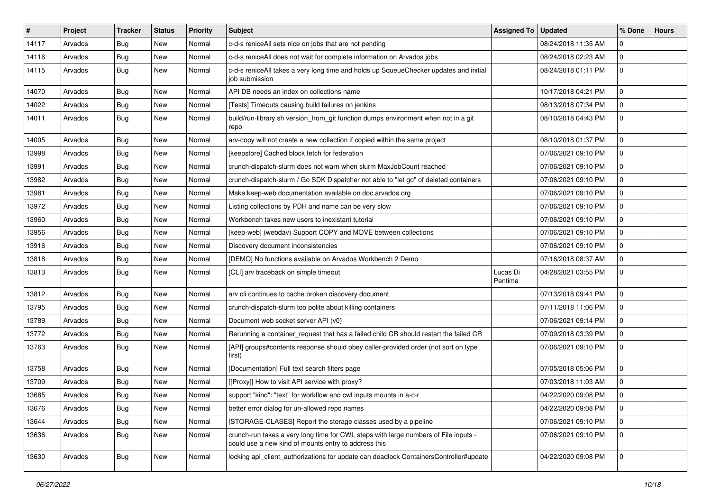| $\vert$ # | Project | Tracker    | <b>Status</b> | <b>Priority</b> | <b>Subject</b>                                                                                                                              | <b>Assigned To</b>  | <b>Updated</b>      | % Done              | <b>Hours</b> |
|-----------|---------|------------|---------------|-----------------|---------------------------------------------------------------------------------------------------------------------------------------------|---------------------|---------------------|---------------------|--------------|
| 14117     | Arvados | Bug        | New           | Normal          | c-d-s reniceAll sets nice on jobs that are not pending                                                                                      |                     | 08/24/2018 11:35 AM | $\mathbf 0$         |              |
| 14116     | Arvados | <b>Bug</b> | New           | Normal          | c-d-s reniceAll does not wait for complete information on Arvados jobs                                                                      |                     | 08/24/2018 02:23 AM | $\mathbf 0$         |              |
| 14115     | Arvados | <b>Bug</b> | New           | Normal          | c-d-s reniceAll takes a very long time and holds up SqueueChecker updates and initial<br>job submission                                     |                     | 08/24/2018 01:11 PM | $\mathbf 0$         |              |
| 14070     | Arvados | Bug        | New           | Normal          | API DB needs an index on collections name                                                                                                   |                     | 10/17/2018 04:21 PM | $\mathbf 0$         |              |
| 14022     | Arvados | <b>Bug</b> | New           | Normal          | [Tests] Timeouts causing build failures on jenkins                                                                                          |                     | 08/13/2018 07:34 PM | $\mathbf 0$         |              |
| 14011     | Arvados | <b>Bug</b> | New           | Normal          | build/run-library.sh version_from_git function dumps environment when not in a git<br>repo                                                  |                     | 08/10/2018 04:43 PM | $\Omega$            |              |
| 14005     | Arvados | <b>Bug</b> | New           | Normal          | arv-copy will not create a new collection if copied within the same project                                                                 |                     | 08/10/2018 01:37 PM | $\Omega$            |              |
| 13998     | Arvados | Bug        | New           | Normal          | [keepstore] Cached block fetch for federation                                                                                               |                     | 07/06/2021 09:10 PM | $\mathbf 0$         |              |
| 13991     | Arvados | <b>Bug</b> | New           | Normal          | crunch-dispatch-slurm does not warn when slurm MaxJobCount reached                                                                          |                     | 07/06/2021 09:10 PM | $\mathbf 0$         |              |
| 13982     | Arvados | <b>Bug</b> | New           | Normal          | crunch-dispatch-slurm / Go SDK Dispatcher not able to "let go" of deleted containers                                                        |                     | 07/06/2021 09:10 PM | $\mathbf 0$         |              |
| 13981     | Arvados | <b>Bug</b> | New           | Normal          | Make keep-web documentation available on doc.arvados.org                                                                                    |                     | 07/06/2021 09:10 PM | $\mathbf 0$         |              |
| 13972     | Arvados | <b>Bug</b> | New           | Normal          | Listing collections by PDH and name can be very slow                                                                                        |                     | 07/06/2021 09:10 PM | $\mathbf 0$         |              |
| 13960     | Arvados | <b>Bug</b> | New           | Normal          | Workbench takes new users to inexistant tutorial                                                                                            |                     | 07/06/2021 09:10 PM | $\Omega$            |              |
| 13956     | Arvados | <b>Bug</b> | New           | Normal          | [keep-web] (webdav) Support COPY and MOVE between collections                                                                               |                     | 07/06/2021 09:10 PM | $\mathbf 0$         |              |
| 13916     | Arvados | <b>Bug</b> | New           | Normal          | Discovery document inconsistencies                                                                                                          |                     | 07/06/2021 09:10 PM | $\mathbf{0}$        |              |
| 13818     | Arvados | <b>Bug</b> | New           | Normal          | [DEMO] No functions available on Arvados Workbench 2 Demo                                                                                   |                     | 07/16/2018 08:37 AM | $\mathbf 0$         |              |
| 13813     | Arvados | <b>Bug</b> | New           | Normal          | [CLI] arv traceback on simple timeout                                                                                                       | Lucas Di<br>Pentima | 04/28/2021 03:55 PM | $\mathbf 0$         |              |
| 13812     | Arvados | <b>Bug</b> | New           | Normal          | arv cli continues to cache broken discovery document                                                                                        |                     | 07/13/2018 09:41 PM | $\mathbf 0$         |              |
| 13795     | Arvados | <b>Bug</b> | New           | Normal          | crunch-dispatch-slurm too polite about killing containers                                                                                   |                     | 07/11/2018 11:06 PM | $\mathbf 0$         |              |
| 13789     | Arvados | <b>Bug</b> | New           | Normal          | Document web socket server API (v0)                                                                                                         |                     | 07/06/2021 09:14 PM | $\mathbf 0$         |              |
| 13772     | Arvados | Bug        | New           | Normal          | Rerunning a container_request that has a failed child CR should restart the failed CR                                                       |                     | 07/09/2018 03:39 PM | $\mathbf 0$         |              |
| 13763     | Arvados | <b>Bug</b> | New           | Normal          | [API] groups#contents response should obey caller-provided order (not sort on type<br>first)                                                |                     | 07/06/2021 09:10 PM | $\Omega$            |              |
| 13758     | Arvados | <b>Bug</b> | New           | Normal          | [Documentation] Full text search filters page                                                                                               |                     | 07/05/2018 05:06 PM | $\mathbf 0$         |              |
| 13709     | Arvados | <b>Bug</b> | New           | Normal          | [[Proxy]] How to visit API service with proxy?                                                                                              |                     | 07/03/2018 11:03 AM | $\mathbf 0$         |              |
| 13685     | Arvados | <b>Bug</b> | New           | Normal          | support "kind": "text" for workflow and cwl inputs mounts in a-c-r                                                                          |                     | 04/22/2020 09:08 PM | $\mathbf 0$         |              |
| 13676     | Arvados | <b>Bug</b> | New           | Normal          | better error dialog for un-allowed repo names                                                                                               |                     | 04/22/2020 09:08 PM | 0                   |              |
| 13644     | Arvados | Bug        | New           | Normal          | [STORAGE-CLASES] Report the storage classes used by a pipeline                                                                              |                     | 07/06/2021 09:10 PM | $\mathsf{O}\xspace$ |              |
| 13636     | Arvados | <b>Bug</b> | New           | Normal          | crunch-run takes a very long time for CWL steps with large numbers of File inputs -<br>could use a new kind of mounts entry to address this |                     | 07/06/2021 09:10 PM | 0                   |              |
| 13630     | Arvados | Bug        | New           | Normal          | locking api_client_authorizations for update can deadlock ContainersController#update                                                       |                     | 04/22/2020 09:08 PM | 0                   |              |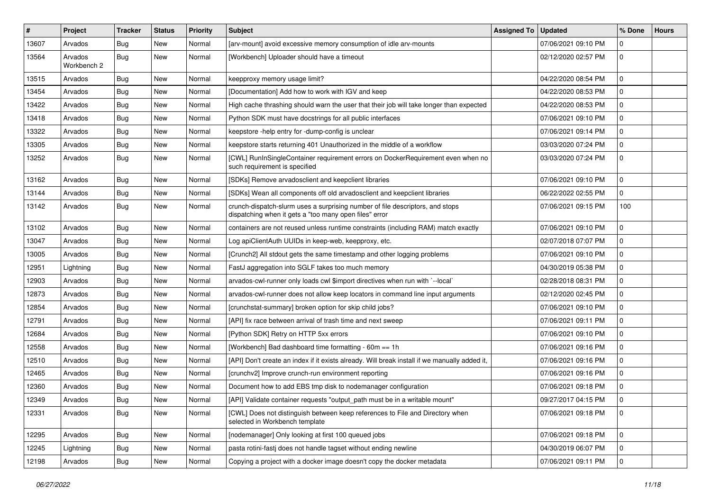| #     | Project                | <b>Tracker</b> | <b>Status</b> | Priority | <b>Subject</b>                                                                                                                          | <b>Assigned To</b> | <b>Updated</b>      | % Done         | <b>Hours</b> |
|-------|------------------------|----------------|---------------|----------|-----------------------------------------------------------------------------------------------------------------------------------------|--------------------|---------------------|----------------|--------------|
| 13607 | Arvados                | Bug            | New           | Normal   | [arv-mount] avoid excessive memory consumption of idle arv-mounts                                                                       |                    | 07/06/2021 09:10 PM | $\Omega$       |              |
| 13564 | Arvados<br>Workbench 2 | Bug            | New           | Normal   | [Workbench] Uploader should have a timeout                                                                                              |                    | 02/12/2020 02:57 PM | $\mathbf{0}$   |              |
| 13515 | Arvados                | <b>Bug</b>     | New           | Normal   | keepproxy memory usage limit?                                                                                                           |                    | 04/22/2020 08:54 PM | $\mathbf{0}$   |              |
| 13454 | Arvados                | Bug            | New           | Normal   | [Documentation] Add how to work with IGV and keep                                                                                       |                    | 04/22/2020 08:53 PM | $\mathbf 0$    |              |
| 13422 | Arvados                | <b>Bug</b>     | New           | Normal   | High cache thrashing should warn the user that their job will take longer than expected                                                 |                    | 04/22/2020 08:53 PM | $\mathbf 0$    |              |
| 13418 | Arvados                | Bug            | New           | Normal   | Python SDK must have docstrings for all public interfaces                                                                               |                    | 07/06/2021 09:10 PM | $\mathbf{0}$   |              |
| 13322 | Arvados                | Bug            | New           | Normal   | keepstore -help entry for -dump-config is unclear                                                                                       |                    | 07/06/2021 09:14 PM | $\mathbf 0$    |              |
| 13305 | Arvados                | <b>Bug</b>     | New           | Normal   | keepstore starts returning 401 Unauthorized in the middle of a workflow                                                                 |                    | 03/03/2020 07:24 PM | $\mathbf{0}$   |              |
| 13252 | Arvados                | Bug            | New           | Normal   | [CWL] RunInSingleContainer requirement errors on DockerRequirement even when no<br>such requirement is specified                        |                    | 03/03/2020 07:24 PM | $\mathbf 0$    |              |
| 13162 | Arvados                | Bug            | New           | Normal   | [SDKs] Remove arvadosclient and keepclient libraries                                                                                    |                    | 07/06/2021 09:10 PM | $\mathbf 0$    |              |
| 13144 | Arvados                | Bug            | New           | Normal   | [SDKs] Wean all components off old arvadosclient and keepclient libraries                                                               |                    | 06/22/2022 02:55 PM | $\Omega$       |              |
| 13142 | Arvados                | Bug            | New           | Normal   | crunch-dispatch-slurm uses a surprising number of file descriptors, and stops<br>dispatching when it gets a "too many open files" error |                    | 07/06/2021 09:15 PM | 100            |              |
| 13102 | Arvados                | Bug            | New           | Normal   | containers are not reused unless runtime constraints (including RAM) match exactly                                                      |                    | 07/06/2021 09:10 PM | $\mathbf 0$    |              |
| 13047 | Arvados                | Bug            | New           | Normal   | Log apiClientAuth UUIDs in keep-web, keepproxy, etc.                                                                                    |                    | 02/07/2018 07:07 PM | $\mathbf{0}$   |              |
| 13005 | Arvados                | Bug            | New           | Normal   | [Crunch2] All stdout gets the same timestamp and other logging problems                                                                 |                    | 07/06/2021 09:10 PM | $\mathbf 0$    |              |
| 12951 | Lightning              | <b>Bug</b>     | New           | Normal   | FastJ aggregation into SGLF takes too much memory                                                                                       |                    | 04/30/2019 05:38 PM | $\mathbf 0$    |              |
| 12903 | Arvados                | Bug            | New           | Normal   | arvados-cwl-runner only loads cwl \$import directives when run with `--local`                                                           |                    | 02/28/2018 08:31 PM | $\mathbf 0$    |              |
| 12873 | Arvados                | Bug            | New           | Normal   | arvados-cwl-runner does not allow keep locators in command line input arguments                                                         |                    | 02/12/2020 02:45 PM | $\mathbf 0$    |              |
| 12854 | Arvados                | <b>Bug</b>     | New           | Normal   | [crunchstat-summary] broken option for skip child jobs?                                                                                 |                    | 07/06/2021 09:10 PM | $\mathbf 0$    |              |
| 12791 | Arvados                | <b>Bug</b>     | New           | Normal   | [API] fix race between arrival of trash time and next sweep                                                                             |                    | 07/06/2021 09:11 PM | $\mathbf 0$    |              |
| 12684 | Arvados                | Bug            | New           | Normal   | [Python SDK] Retry on HTTP 5xx errors                                                                                                   |                    | 07/06/2021 09:10 PM | 0              |              |
| 12558 | Arvados                | <b>Bug</b>     | New           | Normal   | [Workbench] Bad dashboard time formatting - 60m == 1h                                                                                   |                    | 07/06/2021 09:16 PM | $\mathbf 0$    |              |
| 12510 | Arvados                | <b>Bug</b>     | New           | Normal   | [API] Don't create an index if it exists already. Will break install if we manually added it,                                           |                    | 07/06/2021 09:16 PM | $\mathbf 0$    |              |
| 12465 | Arvados                | Bug            | New           | Normal   | [crunchv2] Improve crunch-run environment reporting                                                                                     |                    | 07/06/2021 09:16 PM | $\mathbf 0$    |              |
| 12360 | Arvados                | <b>Bug</b>     | New           | Normal   | Document how to add EBS tmp disk to nodemanager configuration                                                                           |                    | 07/06/2021 09:18 PM | $\mathbf 0$    |              |
| 12349 | Arvados                | Bug            | New           | Normal   | [API] Validate container requests "output_path must be in a writable mount"                                                             |                    | 09/27/2017 04:15 PM | $\mathbf 0$    |              |
| 12331 | Arvados                | Bug            | New           | Normal   | [CWL] Does not distinguish between keep references to File and Directory when<br>selected in Workbench template                         |                    | 07/06/2021 09:18 PM | $\mathbf 0$    |              |
| 12295 | Arvados                | Bug            | New           | Normal   | [nodemanager] Only looking at first 100 queued jobs                                                                                     |                    | 07/06/2021 09:18 PM | $\mathbf 0$    |              |
| 12245 | Lightning              | <b>Bug</b>     | New           | Normal   | pasta rotini-fasti does not handle tagset without ending newline                                                                        |                    | 04/30/2019 06:07 PM | $\mathbf 0$    |              |
| 12198 | Arvados                | Bug            | New           | Normal   | Copying a project with a docker image doesn't copy the docker metadata                                                                  |                    | 07/06/2021 09:11 PM | $\overline{0}$ |              |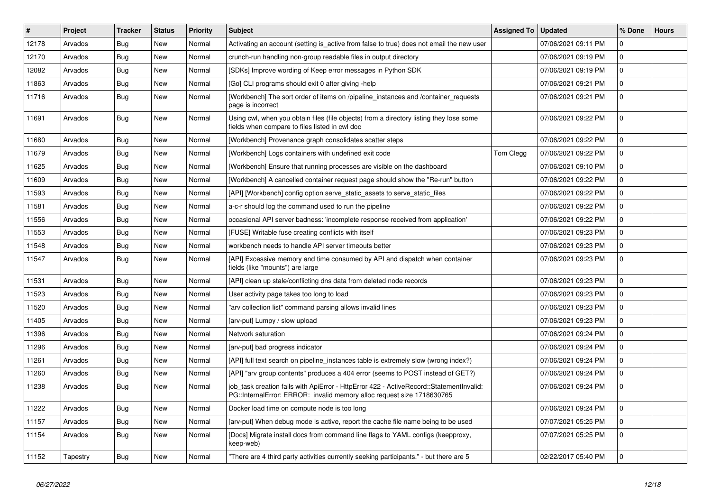| $\vert$ # | Project  | <b>Tracker</b> | <b>Status</b> | <b>Priority</b> | <b>Subject</b>                                                                                                                                                    | Assigned To   Updated |                     | % Done       | <b>Hours</b> |
|-----------|----------|----------------|---------------|-----------------|-------------------------------------------------------------------------------------------------------------------------------------------------------------------|-----------------------|---------------------|--------------|--------------|
| 12178     | Arvados  | Bug            | <b>New</b>    | Normal          | Activating an account (setting is active from false to true) does not email the new user                                                                          |                       | 07/06/2021 09:11 PM | $\Omega$     |              |
| 12170     | Arvados  | Bug            | <b>New</b>    | Normal          | crunch-run handling non-group readable files in output directory                                                                                                  |                       | 07/06/2021 09:19 PM | $\mathbf 0$  |              |
| 12082     | Arvados  | Bug            | New           | Normal          | [SDKs] Improve wording of Keep error messages in Python SDK                                                                                                       |                       | 07/06/2021 09:19 PM | $\Omega$     |              |
| 11863     | Arvados  | <b>Bug</b>     | <b>New</b>    | Normal          | [Go] CLI programs should exit 0 after giving -help                                                                                                                |                       | 07/06/2021 09:21 PM | $\mathbf 0$  |              |
| 11716     | Arvados  | Bug            | New           | Normal          | [Workbench] The sort order of items on /pipeline instances and /container requests<br>page is incorrect                                                           |                       | 07/06/2021 09:21 PM | $\mathbf 0$  |              |
| 11691     | Arvados  | <b>Bug</b>     | New           | Normal          | Using cwl, when you obtain files (file objects) from a directory listing they lose some<br>fields when compare to files listed in cwl doc                         |                       | 07/06/2021 09:22 PM | $\Omega$     |              |
| 11680     | Arvados  | Bug            | New           | Normal          | [Workbench] Provenance graph consolidates scatter steps                                                                                                           |                       | 07/06/2021 09:22 PM | $\mathbf 0$  |              |
| 11679     | Arvados  | Bug            | New           | Normal          | [Workbench] Logs containers with undefined exit code                                                                                                              | Tom Clegg             | 07/06/2021 09:22 PM | $\mathbf 0$  |              |
| 11625     | Arvados  | <b>Bug</b>     | New           | Normal          | [Workbench] Ensure that running processes are visible on the dashboard                                                                                            |                       | 07/06/2021 09:10 PM | $\pmb{0}$    |              |
| 11609     | Arvados  | Bug            | New           | Normal          | [Workbench] A cancelled container request page should show the "Re-run" button                                                                                    |                       | 07/06/2021 09:22 PM | $\mathbf 0$  |              |
| 11593     | Arvados  | Bug            | New           | Normal          | [API] [Workbench] config option serve static assets to serve static files                                                                                         |                       | 07/06/2021 09:22 PM | $\mathbf{0}$ |              |
| 11581     | Arvados  | Bug            | New           | Normal          | a-c-r should log the command used to run the pipeline                                                                                                             |                       | 07/06/2021 09:22 PM | $\mathbf 0$  |              |
| 11556     | Arvados  | Bug            | New           | Normal          | occasional API server badness: 'incomplete response received from application'                                                                                    |                       | 07/06/2021 09:22 PM | 0            |              |
| 11553     | Arvados  | <b>Bug</b>     | New           | Normal          | [FUSE] Writable fuse creating conflicts with itself                                                                                                               |                       | 07/06/2021 09:23 PM | $\mathbf 0$  |              |
| 11548     | Arvados  | Bug            | New           | Normal          | workbench needs to handle API server timeouts better                                                                                                              |                       | 07/06/2021 09:23 PM | $\mathbf 0$  |              |
| 11547     | Arvados  | Bug            | New           | Normal          | [API] Excessive memory and time consumed by API and dispatch when container<br>fields (like "mounts") are large                                                   |                       | 07/06/2021 09:23 PM | $\mathbf 0$  |              |
| 11531     | Arvados  | <b>Bug</b>     | <b>New</b>    | Normal          | [API] clean up stale/conflicting dns data from deleted node records                                                                                               |                       | 07/06/2021 09:23 PM | $\Omega$     |              |
| 11523     | Arvados  | Bug            | New           | Normal          | User activity page takes too long to load                                                                                                                         |                       | 07/06/2021 09:23 PM | $\mathbf 0$  |              |
| 11520     | Arvados  | Bug            | New           | Normal          | "arv collection list" command parsing allows invalid lines                                                                                                        |                       | 07/06/2021 09:23 PM | $\mathbf 0$  |              |
| 11405     | Arvados  | <b>Bug</b>     | New           | Normal          | [arv-put] Lumpy / slow upload                                                                                                                                     |                       | 07/06/2021 09:23 PM | $\pmb{0}$    |              |
| 11396     | Arvados  | <b>Bug</b>     | <b>New</b>    | Normal          | Network saturation                                                                                                                                                |                       | 07/06/2021 09:24 PM | $\Omega$     |              |
| 11296     | Arvados  | Bug            | New           | Normal          | [arv-put] bad progress indicator                                                                                                                                  |                       | 07/06/2021 09:24 PM | $\Omega$     |              |
| 11261     | Arvados  | Bug            | New           | Normal          | [API] full text search on pipeline_instances table is extremely slow (wrong index?)                                                                               |                       | 07/06/2021 09:24 PM | $\mathbf 0$  |              |
| 11260     | Arvados  | <b>Bug</b>     | New           | Normal          | [API] "arv group contents" produces a 404 error (seems to POST instead of GET?)                                                                                   |                       | 07/06/2021 09:24 PM | $\mathbf 0$  |              |
| 11238     | Arvados  | Bug            | New           | Normal          | job_task creation fails with ApiError - HttpError 422 - ActiveRecord::StatementInvalid:<br>PG::InternalError: ERROR: invalid memory alloc request size 1718630765 |                       | 07/06/2021 09:24 PM | $\Omega$     |              |
| 11222     | Arvados  | Bug            | New           | Normal          | Docker load time on compute node is too long                                                                                                                      |                       | 07/06/2021 09:24 PM | $\mathbf 0$  |              |
| 11157     | Arvados  | Bug            | New           | Normal          | [arv-put] When debug mode is active, report the cache file name being to be used                                                                                  |                       | 07/07/2021 05:25 PM | $\mathbf 0$  |              |
| 11154     | Arvados  | Bug            | <b>New</b>    | Normal          | [Docs] Migrate install docs from command line flags to YAML configs (keepproxy,<br>keep-web)                                                                      |                       | 07/07/2021 05:25 PM | $\Omega$     |              |
| 11152     | Tapestry | Bug            | New           | Normal          | There are 4 third party activities currently seeking participants." - but there are 5                                                                             |                       | 02/22/2017 05:40 PM | $\mathbf 0$  |              |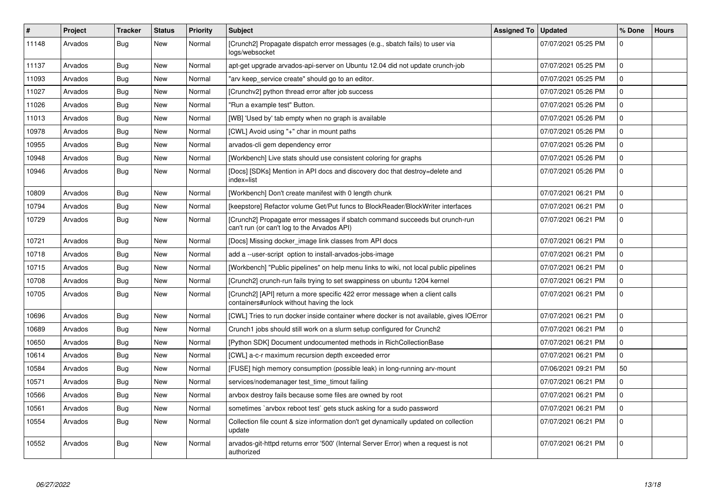| #     | Project | <b>Tracker</b> | <b>Status</b> | <b>Priority</b> | <b>Subject</b>                                                                                                              | Assigned To   Updated |                     | % Done      | <b>Hours</b> |
|-------|---------|----------------|---------------|-----------------|-----------------------------------------------------------------------------------------------------------------------------|-----------------------|---------------------|-------------|--------------|
| 11148 | Arvados | Bug            | New           | Normal          | [Crunch2] Propagate dispatch error messages (e.g., sbatch fails) to user via<br>logs/websocket                              |                       | 07/07/2021 05:25 PM | $\Omega$    |              |
| 11137 | Arvados | <b>Bug</b>     | <b>New</b>    | Normal          | apt-get upgrade arvados-api-server on Ubuntu 12.04 did not update crunch-job                                                |                       | 07/07/2021 05:25 PM | $\Omega$    |              |
| 11093 | Arvados | Bug            | New           | Normal          | 'arv keep service create" should go to an editor.                                                                           |                       | 07/07/2021 05:25 PM | $\mathbf 0$ |              |
| 11027 | Arvados | <b>Bug</b>     | New           | Normal          | [Crunchv2] python thread error after job success                                                                            |                       | 07/07/2021 05:26 PM | $\Omega$    |              |
| 11026 | Arvados | Bug            | New           | Normal          | 'Run a example test" Button.                                                                                                |                       | 07/07/2021 05:26 PM | $\mathbf 0$ |              |
| 11013 | Arvados | Bug            | New           | Normal          | [WB] 'Used by' tab empty when no graph is available                                                                         |                       | 07/07/2021 05:26 PM | $\mathbf 0$ |              |
| 10978 | Arvados | <b>Bug</b>     | New           | Normal          | [CWL] Avoid using "+" char in mount paths                                                                                   |                       | 07/07/2021 05:26 PM | 0           |              |
| 10955 | Arvados | Bug            | New           | Normal          | arvados-cli gem dependency error                                                                                            |                       | 07/07/2021 05:26 PM | $\mathbf 0$ |              |
| 10948 | Arvados | <b>Bug</b>     | <b>New</b>    | Normal          | [Workbench] Live stats should use consistent coloring for graphs                                                            |                       | 07/07/2021 05:26 PM | $\Omega$    |              |
| 10946 | Arvados | Bug            | New           | Normal          | [Docs] [SDKs] Mention in API docs and discovery doc that destroy=delete and<br>index=list                                   |                       | 07/07/2021 05:26 PM | $\mathbf 0$ |              |
| 10809 | Arvados | Bug            | New           | Normal          | [Workbench] Don't create manifest with 0 length chunk                                                                       |                       | 07/07/2021 06:21 PM | $\mathbf 0$ |              |
| 10794 | Arvados | <b>Bug</b>     | <b>New</b>    | Normal          | [keepstore] Refactor volume Get/Put funcs to BlockReader/BlockWriter interfaces                                             |                       | 07/07/2021 06:21 PM | $\mathbf 0$ |              |
| 10729 | Arvados | <b>Bug</b>     | <b>New</b>    | Normal          | [Crunch2] Propagate error messages if sbatch command succeeds but crunch-run<br>can't run (or can't log to the Arvados API) |                       | 07/07/2021 06:21 PM | $\mathbf 0$ |              |
| 10721 | Arvados | Bug            | <b>New</b>    | Normal          | [Docs] Missing docker_image link classes from API docs                                                                      |                       | 07/07/2021 06:21 PM | $\Omega$    |              |
| 10718 | Arvados | <b>Bug</b>     | <b>New</b>    | Normal          | add a --user-script option to install-arvados-jobs-image                                                                    |                       | 07/07/2021 06:21 PM | $\mathbf 0$ |              |
| 10715 | Arvados | <b>Bug</b>     | <b>New</b>    | Normal          | [Workbench] "Public pipelines" on help menu links to wiki, not local public pipelines                                       |                       | 07/07/2021 06:21 PM | $\Omega$    |              |
| 10708 | Arvados | Bug            | New           | Normal          | [Crunch2] crunch-run fails trying to set swappiness on ubuntu 1204 kernel                                                   |                       | 07/07/2021 06:21 PM | $\mathbf 0$ |              |
| 10705 | Arvados | Bug            | <b>New</b>    | Normal          | [Crunch2] [API] return a more specific 422 error message when a client calls<br>containers#unlock without having the lock   |                       | 07/07/2021 06:21 PM | $\Omega$    |              |
| 10696 | Arvados | Bug            | <b>New</b>    | Normal          | [CWL] Tries to run docker inside container where docker is not available, gives IOError                                     |                       | 07/07/2021 06:21 PM | $\mathbf 0$ |              |
| 10689 | Arvados | <b>Bug</b>     | New           | Normal          | Crunch1 jobs should still work on a slurm setup configured for Crunch2                                                      |                       | 07/07/2021 06:21 PM | 0           |              |
| 10650 | Arvados | Bug            | New           | Normal          | [Python SDK] Document undocumented methods in RichCollectionBase                                                            |                       | 07/07/2021 06:21 PM | $\mathbf 0$ |              |
| 10614 | Arvados | Bug            | New           | Normal          | [CWL] a-c-r maximum recursion depth exceeded error                                                                          |                       | 07/07/2021 06:21 PM | $\Omega$    |              |
| 10584 | Arvados | Bug            | New           | Normal          | [FUSE] high memory consumption (possible leak) in long-running arv-mount                                                    |                       | 07/06/2021 09:21 PM | 50          |              |
| 10571 | Arvados | Bug            | New           | Normal          | services/nodemanager test_time_timout failing                                                                               |                       | 07/07/2021 06:21 PM | $\mathbf 0$ |              |
| 10566 | Arvados | <b>Bug</b>     | New           | Normal          | arvbox destroy fails because some files are owned by root                                                                   |                       | 07/07/2021 06:21 PM | $\mathbf 0$ |              |
| 10561 | Arvados | Bug            | New           | Normal          | sometimes `arvbox reboot test` gets stuck asking for a sudo password                                                        |                       | 07/07/2021 06:21 PM | $\mathbf 0$ |              |
| 10554 | Arvados | <b>Bug</b>     | <b>New</b>    | Normal          | Collection file count & size information don't get dynamically updated on collection<br>update                              |                       | 07/07/2021 06:21 PM | $\Omega$    |              |
| 10552 | Arvados | <b>Bug</b>     | <b>New</b>    | Normal          | arvados-git-httpd returns error '500' (Internal Server Error) when a request is not<br>authorized                           |                       | 07/07/2021 06:21 PM | $\Omega$    |              |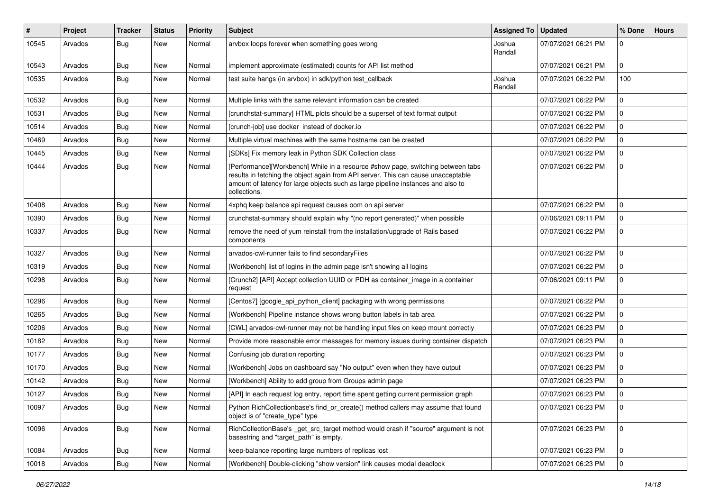| #     | <b>Project</b> | <b>Tracker</b> | <b>Status</b> | <b>Priority</b> | <b>Subject</b>                                                                                                                                                                                                                                                           | Assigned To   Updated |                     | % Done         | <b>Hours</b> |
|-------|----------------|----------------|---------------|-----------------|--------------------------------------------------------------------------------------------------------------------------------------------------------------------------------------------------------------------------------------------------------------------------|-----------------------|---------------------|----------------|--------------|
| 10545 | Arvados        | <b>Bug</b>     | New           | Normal          | arvbox loops forever when something goes wrong                                                                                                                                                                                                                           | Joshua<br>Randall     | 07/07/2021 06:21 PM | $\Omega$       |              |
| 10543 | Arvados        | <b>Bug</b>     | New           | Normal          | implement approximate (estimated) counts for API list method                                                                                                                                                                                                             |                       | 07/07/2021 06:21 PM | $\mathbf 0$    |              |
| 10535 | Arvados        | Bug            | New           | Normal          | test suite hangs (in arvbox) in sdk/python test_callback                                                                                                                                                                                                                 | Joshua<br>Randall     | 07/07/2021 06:22 PM | 100            |              |
| 10532 | Arvados        | Bug            | New           | Normal          | Multiple links with the same relevant information can be created                                                                                                                                                                                                         |                       | 07/07/2021 06:22 PM | $\Omega$       |              |
| 10531 | Arvados        | <b>Bug</b>     | New           | Normal          | [crunchstat-summary] HTML plots should be a superset of text format output                                                                                                                                                                                               |                       | 07/07/2021 06:22 PM | $\Omega$       |              |
| 10514 | Arvados        | <b>Bug</b>     | New           | Normal          | [crunch-job] use docker instead of docker.io                                                                                                                                                                                                                             |                       | 07/07/2021 06:22 PM | 0              |              |
| 10469 | Arvados        | <b>Bug</b>     | New           | Normal          | Multiple virtual machines with the same hostname can be created                                                                                                                                                                                                          |                       | 07/07/2021 06:22 PM | $\Omega$       |              |
| 10445 | Arvados        | <b>Bug</b>     | <b>New</b>    | Normal          | [SDKs] Fix memory leak in Python SDK Collection class                                                                                                                                                                                                                    |                       | 07/07/2021 06:22 PM | $\mathbf 0$    |              |
| 10444 | Arvados        | <b>Bug</b>     | New           | Normal          | [Performance][Workbench] While in a resource #show page, switching between tabs<br>results in fetching the object again from API server. This can cause unacceptable<br>amount of latency for large objects such as large pipeline instances and also to<br>collections. |                       | 07/07/2021 06:22 PM | $\Omega$       |              |
| 10408 | Arvados        | Bug            | New           | Normal          | 4xphq keep balance api request causes oom on api server                                                                                                                                                                                                                  |                       | 07/07/2021 06:22 PM | $\overline{0}$ |              |
| 10390 | Arvados        | <b>Bug</b>     | New           | Normal          | crunchstat-summary should explain why "(no report generated)" when possible                                                                                                                                                                                              |                       | 07/06/2021 09:11 PM | $\mathbf 0$    |              |
| 10337 | Arvados        | <b>Bug</b>     | New           | Normal          | remove the need of yum reinstall from the installation/upgrade of Rails based<br>components                                                                                                                                                                              |                       | 07/07/2021 06:22 PM | $\Omega$       |              |
| 10327 | Arvados        | <b>Bug</b>     | New           | Normal          | arvados-cwl-runner fails to find secondaryFiles                                                                                                                                                                                                                          |                       | 07/07/2021 06:22 PM | $\overline{0}$ |              |
| 10319 | Arvados        | <b>Bug</b>     | New           | Normal          | [Workbench] list of logins in the admin page isn't showing all logins                                                                                                                                                                                                    |                       | 07/07/2021 06:22 PM | $\mathbf 0$    |              |
| 10298 | Arvados        | <b>Bug</b>     | New           | Normal          | [Crunch2] [API] Accept collection UUID or PDH as container_image in a container<br>request                                                                                                                                                                               |                       | 07/06/2021 09:11 PM | $\Omega$       |              |
| 10296 | Arvados        | Bug            | New           | Normal          | [Centos7] [google_api_python_client] packaging with wrong permissions                                                                                                                                                                                                    |                       | 07/07/2021 06:22 PM | $\overline{0}$ |              |
| 10265 | Arvados        | Bug            | New           | Normal          | [Workbench] Pipeline instance shows wrong button labels in tab area                                                                                                                                                                                                      |                       | 07/07/2021 06:22 PM | $\mathbf 0$    |              |
| 10206 | Arvados        | <b>Bug</b>     | New           | Normal          | [CWL] arvados-cwl-runner may not be handling input files on keep mount correctly                                                                                                                                                                                         |                       | 07/07/2021 06:23 PM | $\Omega$       |              |
| 10182 | Arvados        | <b>Bug</b>     | New           | Normal          | Provide more reasonable error messages for memory issues during container dispatch                                                                                                                                                                                       |                       | 07/07/2021 06:23 PM | $\mathbf 0$    |              |
| 10177 | Arvados        | <b>Bug</b>     | New           | Normal          | Confusing job duration reporting                                                                                                                                                                                                                                         |                       | 07/07/2021 06:23 PM | 0              |              |
| 10170 | Arvados        | <b>Bug</b>     | New           | Normal          | [Workbench] Jobs on dashboard say "No output" even when they have output                                                                                                                                                                                                 |                       | 07/07/2021 06:23 PM | $\Omega$       |              |
| 10142 | Arvados        | <b>Bug</b>     | New           | Normal          | [Workbench] Ability to add group from Groups admin page                                                                                                                                                                                                                  |                       | 07/07/2021 06:23 PM | $\mathbf 0$    |              |
| 10127 | Arvados        | <b>Bug</b>     | New           | Normal          | [API] In each request log entry, report time spent getting current permission graph                                                                                                                                                                                      |                       | 07/07/2021 06:23 PM | $\Omega$       |              |
| 10097 | Arvados        | <b>Bug</b>     | New           | Normal          | Python RichCollectionbase's find_or_create() method callers may assume that found<br>object is of "create_type" type                                                                                                                                                     |                       | 07/07/2021 06:23 PM | l 0            |              |
| 10096 | Arvados        | Bug            | New           | Normal          | RichCollectionBase's _get_src_target method would crash if "source" argument is not<br>basestring and "target_path" is empty.                                                                                                                                            |                       | 07/07/2021 06:23 PM | 0              |              |
| 10084 | Arvados        | <b>Bug</b>     | New           | Normal          | keep-balance reporting large numbers of replicas lost                                                                                                                                                                                                                    |                       | 07/07/2021 06:23 PM | l 0            |              |
| 10018 | Arvados        | Bug            | New           | Normal          | [Workbench] Double-clicking "show version" link causes modal deadlock                                                                                                                                                                                                    |                       | 07/07/2021 06:23 PM | l 0            |              |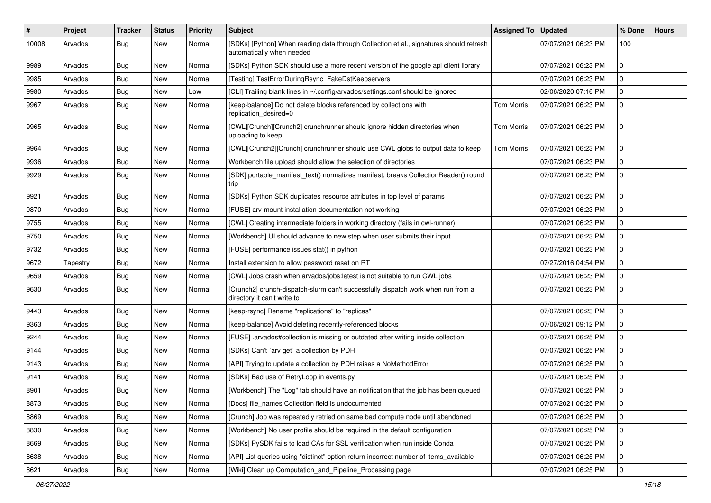| $\sharp$ | Project  | Tracker    | <b>Status</b> | <b>Priority</b> | <b>Subject</b>                                                                                                      | <b>Assigned To</b> | <b>Updated</b>      | % Done       | <b>Hours</b> |
|----------|----------|------------|---------------|-----------------|---------------------------------------------------------------------------------------------------------------------|--------------------|---------------------|--------------|--------------|
| 10008    | Arvados  | <b>Bug</b> | New           | Normal          | [SDKs] [Python] When reading data through Collection et al., signatures should refresh<br>automatically when needed |                    | 07/07/2021 06:23 PM | 100          |              |
| 9989     | Arvados  | Bug        | New           | Normal          | [SDKs] Python SDK should use a more recent version of the google api client library                                 |                    | 07/07/2021 06:23 PM | $\mathbf 0$  |              |
| 9985     | Arvados  | <b>Bug</b> | New           | Normal          | [Testing] TestErrorDuringRsync_FakeDstKeepservers                                                                   |                    | 07/07/2021 06:23 PM | $\mathbf 0$  |              |
| 9980     | Arvados  | Bug        | New           | Low             | [CLI] Trailing blank lines in ~/.config/arvados/settings.conf should be ignored                                     |                    | 02/06/2020 07:16 PM | $\mathbf 0$  |              |
| 9967     | Arvados  | <b>Bug</b> | New           | Normal          | [keep-balance] Do not delete blocks referenced by collections with<br>replication_desired=0                         | Tom Morris         | 07/07/2021 06:23 PM | $\mathbf 0$  |              |
| 9965     | Arvados  | <b>Bug</b> | New           | Normal          | [CWL][Crunch][Crunch2] crunchrunner should ignore hidden directories when<br>uploading to keep                      | Tom Morris         | 07/07/2021 06:23 PM | $\mathbf 0$  |              |
| 9964     | Arvados  | <b>Bug</b> | New           | Normal          | [CWL][Crunch2][Crunch] crunchrunner should use CWL globs to output data to keep                                     | <b>Tom Morris</b>  | 07/07/2021 06:23 PM | $\mathbf 0$  |              |
| 9936     | Arvados  | Bug        | New           | Normal          | Workbench file upload should allow the selection of directories                                                     |                    | 07/07/2021 06:23 PM | $\mathbf 0$  |              |
| 9929     | Arvados  | <b>Bug</b> | New           | Normal          | [SDK] portable_manifest_text() normalizes manifest, breaks CollectionReader() round<br>trip                         |                    | 07/07/2021 06:23 PM | $\mathbf{0}$ |              |
| 9921     | Arvados  | <b>Bug</b> | New           | Normal          | [SDKs] Python SDK duplicates resource attributes in top level of params                                             |                    | 07/07/2021 06:23 PM | $\mathbf 0$  |              |
| 9870     | Arvados  | <b>Bug</b> | New           | Normal          | [FUSE] arv-mount installation documentation not working                                                             |                    | 07/07/2021 06:23 PM | $\mathbf 0$  |              |
| 9755     | Arvados  | <b>Bug</b> | New           | Normal          | [CWL] Creating intermediate folders in working directory (fails in cwl-runner)                                      |                    | 07/07/2021 06:23 PM | $\mathbf 0$  |              |
| 9750     | Arvados  | <b>Bug</b> | New           | Normal          | [Workbench] UI should advance to new step when user submits their input                                             |                    | 07/07/2021 06:23 PM | $\mathbf 0$  |              |
| 9732     | Arvados  | <b>Bug</b> | New           | Normal          | [FUSE] performance issues stat() in python                                                                          |                    | 07/07/2021 06:23 PM | $\mathbf 0$  |              |
| 9672     | Tapestry | Bug        | New           | Normal          | Install extension to allow password reset on RT                                                                     |                    | 07/27/2016 04:54 PM | $\mathbf 0$  |              |
| 9659     | Arvados  | <b>Bug</b> | New           | Normal          | [CWL] Jobs crash when arvados/jobs:latest is not suitable to run CWL jobs                                           |                    | 07/07/2021 06:23 PM | $\mathbf{0}$ |              |
| 9630     | Arvados  | <b>Bug</b> | New           | Normal          | [Crunch2] crunch-dispatch-slurm can't successfully dispatch work when run from a<br>directory it can't write to     |                    | 07/07/2021 06:23 PM | $\mathbf 0$  |              |
| 9443     | Arvados  | Bug        | New           | Normal          | [keep-rsync] Rename "replications" to "replicas"                                                                    |                    | 07/07/2021 06:23 PM | $\mathbf 0$  |              |
| 9363     | Arvados  | <b>Bug</b> | New           | Normal          | [keep-balance] Avoid deleting recently-referenced blocks                                                            |                    | 07/06/2021 09:12 PM | $\mathbf 0$  |              |
| 9244     | Arvados  | <b>Bug</b> | New           | Normal          | [FUSE] .arvados#collection is missing or outdated after writing inside collection                                   |                    | 07/07/2021 06:25 PM | $\mathbf 0$  |              |
| 9144     | Arvados  | <b>Bug</b> | New           | Normal          | [SDKs] Can't `arv get` a collection by PDH                                                                          |                    | 07/07/2021 06:25 PM | $\mathbf 0$  |              |
| 9143     | Arvados  | Bug        | New           | Normal          | [API] Trying to update a collection by PDH raises a NoMethodError                                                   |                    | 07/07/2021 06:25 PM | $\mathbf 0$  |              |
| 9141     | Arvados  | <b>Bug</b> | New           | Normal          | [SDKs] Bad use of RetryLoop in events.py                                                                            |                    | 07/07/2021 06:25 PM | $\mathbf 0$  |              |
| 8901     | Arvados  | <b>Bug</b> | New           | Normal          | [Workbench] The "Log" tab should have an notification that the job has been queued                                  |                    | 07/07/2021 06:25 PM | 0            |              |
| 8873     | Arvados  | Bug        | New           | Normal          | [Docs] file_names Collection field is undocumented                                                                  |                    | 07/07/2021 06:25 PM | O            |              |
| 8869     | Arvados  | Bug        | New           | Normal          | [Crunch] Job was repeatedly retried on same bad compute node until abandoned                                        |                    | 07/07/2021 06:25 PM | l o          |              |
| 8830     | Arvados  | <b>Bug</b> | New           | Normal          | [Workbench] No user profile should be required in the default configuration                                         |                    | 07/07/2021 06:25 PM | 0            |              |
| 8669     | Arvados  | <b>Bug</b> | New           | Normal          | [SDKs] PySDK fails to load CAs for SSL verification when run inside Conda                                           |                    | 07/07/2021 06:25 PM | 0            |              |
| 8638     | Arvados  | <b>Bug</b> | New           | Normal          | [API] List queries using "distinct" option return incorrect number of items available                               |                    | 07/07/2021 06:25 PM | $\mathbf 0$  |              |
| 8621     | Arvados  | Bug        | New           | Normal          | [Wiki] Clean up Computation_and_Pipeline_Processing page                                                            |                    | 07/07/2021 06:25 PM | 0            |              |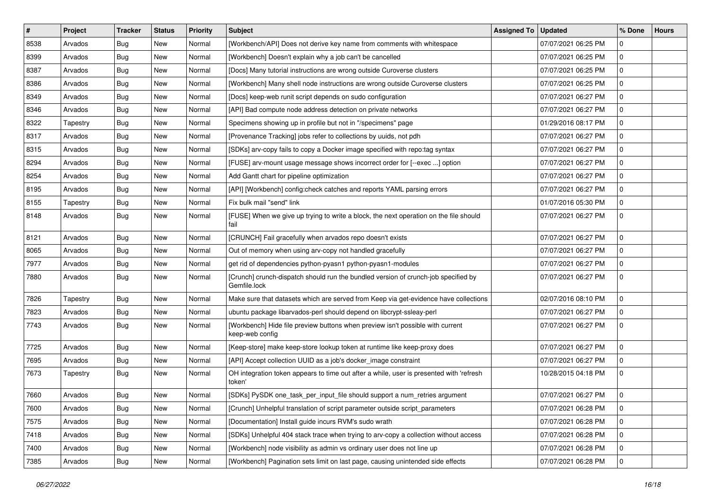| $\vert$ # | Project  | <b>Tracker</b> | <b>Status</b> | <b>Priority</b> | <b>Subject</b>                                                                                     | <b>Assigned To</b> | <b>Updated</b>      | % Done       | <b>Hours</b> |
|-----------|----------|----------------|---------------|-----------------|----------------------------------------------------------------------------------------------------|--------------------|---------------------|--------------|--------------|
| 8538      | Arvados  | <b>Bug</b>     | New           | Normal          | [Workbench/API] Does not derive key name from comments with whitespace                             |                    | 07/07/2021 06:25 PM | 0            |              |
| 8399      | Arvados  | <b>Bug</b>     | New           | Normal          | [Workbench] Doesn't explain why a job can't be cancelled                                           |                    | 07/07/2021 06:25 PM | $\mathbf 0$  |              |
| 8387      | Arvados  | Bug            | New           | Normal          | [Docs] Many tutorial instructions are wrong outside Curoverse clusters                             |                    | 07/07/2021 06:25 PM | $\mathbf 0$  |              |
| 8386      | Arvados  | <b>Bug</b>     | New           | Normal          | [Workbench] Many shell node instructions are wrong outside Curoverse clusters                      |                    | 07/07/2021 06:25 PM | $\mathbf 0$  |              |
| 8349      | Arvados  | <b>Bug</b>     | New           | Normal          | [Docs] keep-web runit script depends on sudo configuration                                         |                    | 07/07/2021 06:27 PM | $\mathbf 0$  |              |
| 8346      | Arvados  | <b>Bug</b>     | New           | Normal          | [API] Bad compute node address detection on private networks                                       |                    | 07/07/2021 06:27 PM | $\mathbf 0$  |              |
| 8322      | Tapestry | Bug            | New           | Normal          | Specimens showing up in profile but not in "/specimens" page                                       |                    | 01/29/2016 08:17 PM | $\mathbf 0$  |              |
| 8317      | Arvados  | <b>Bug</b>     | New           | Normal          | [Provenance Tracking] jobs refer to collections by uuids, not pdh                                  |                    | 07/07/2021 06:27 PM | $\mathbf 0$  |              |
| 8315      | Arvados  | <b>Bug</b>     | New           | Normal          | [SDKs] arv-copy fails to copy a Docker image specified with repo:tag syntax                        |                    | 07/07/2021 06:27 PM | $\mathbf 0$  |              |
| 8294      | Arvados  | Bug            | New           | Normal          | [FUSE] arv-mount usage message shows incorrect order for [--exec ] option                          |                    | 07/07/2021 06:27 PM | $\mathbf 0$  |              |
| 8254      | Arvados  | <b>Bug</b>     | New           | Normal          | Add Gantt chart for pipeline optimization                                                          |                    | 07/07/2021 06:27 PM | $\mathbf 0$  |              |
| 8195      | Arvados  | <b>Bug</b>     | New           | Normal          | [API] [Workbench] config:check catches and reports YAML parsing errors                             |                    | 07/07/2021 06:27 PM | $\mathbf 0$  |              |
| 8155      | Tapestry | <b>Bug</b>     | New           | Normal          | Fix bulk mail "send" link                                                                          |                    | 01/07/2016 05:30 PM | $\mathbf 0$  |              |
| 8148      | Arvados  | <b>Bug</b>     | New           | Normal          | [FUSE] When we give up trying to write a block, the next operation on the file should<br>fail      |                    | 07/07/2021 06:27 PM | $\mathbf 0$  |              |
| 8121      | Arvados  | <b>Bug</b>     | New           | Normal          | [CRUNCH] Fail gracefully when arvados repo doesn't exists                                          |                    | 07/07/2021 06:27 PM | $\mathbf 0$  |              |
| 8065      | Arvados  | <b>Bug</b>     | New           | Normal          | Out of memory when using arv-copy not handled gracefully                                           |                    | 07/07/2021 06:27 PM | $\mathbf{0}$ |              |
| 7977      | Arvados  | Bug            | New           | Normal          | get rid of dependencies python-pyasn1 python-pyasn1-modules                                        |                    | 07/07/2021 06:27 PM | $\mathbf 0$  |              |
| 7880      | Arvados  | <b>Bug</b>     | New           | Normal          | [Crunch] crunch-dispatch should run the bundled version of crunch-job specified by<br>Gemfile.lock |                    | 07/07/2021 06:27 PM | $\mathbf 0$  |              |
| 7826      | Tapestry | <b>Bug</b>     | New           | Normal          | Make sure that datasets which are served from Keep via get-evidence have collections               |                    | 02/07/2016 08:10 PM | $\mathbf 0$  |              |
| 7823      | Arvados  | <b>Bug</b>     | New           | Normal          | ubuntu package libarvados-perl should depend on libcrypt-ssleay-perl                               |                    | 07/07/2021 06:27 PM | $\mathbf 0$  |              |
| 7743      | Arvados  | <b>Bug</b>     | New           | Normal          | [Workbench] Hide file preview buttons when preview isn't possible with current<br>keep-web config  |                    | 07/07/2021 06:27 PM | $\mathbf 0$  |              |
| 7725      | Arvados  | <b>Bug</b>     | New           | Normal          | [Keep-store] make keep-store lookup token at runtime like keep-proxy does                          |                    | 07/07/2021 06:27 PM | $\mathbf{0}$ |              |
| 7695      | Arvados  | <b>Bug</b>     | New           | Normal          | [API] Accept collection UUID as a job's docker_image constraint                                    |                    | 07/07/2021 06:27 PM | $\mathbf 0$  |              |
| 7673      | Tapestry | <b>Bug</b>     | New           | Normal          | OH integration token appears to time out after a while, user is presented with 'refresh<br>token'  |                    | 10/28/2015 04:18 PM | $\mathbf 0$  |              |
| 7660      | Arvados  | <b>Bug</b>     | New           | Normal          | [SDKs] PySDK one_task_per_input_file should support a num_retries argument                         |                    | 07/07/2021 06:27 PM | $\mathbf 0$  |              |
| 7600      | Arvados  | <b>Bug</b>     | New           | Normal          | [Crunch] Unhelpful translation of script parameter outside script_parameters                       |                    | 07/07/2021 06:28 PM | 0            |              |
| 7575      | Arvados  | <b>Bug</b>     | New           | Normal          | [Documentation] Install guide incurs RVM's sudo wrath                                              |                    | 07/07/2021 06:28 PM | 0            |              |
| 7418      | Arvados  | <b>Bug</b>     | New           | Normal          | [SDKs] Unhelpful 404 stack trace when trying to arv-copy a collection without access               |                    | 07/07/2021 06:28 PM | 0            |              |
| 7400      | Arvados  | <b>Bug</b>     | New           | Normal          | [Workbench] node visibility as admin vs ordinary user does not line up                             |                    | 07/07/2021 06:28 PM | $\pmb{0}$    |              |
| 7385      | Arvados  | <b>Bug</b>     | New           | Normal          | [Workbench] Pagination sets limit on last page, causing unintended side effects                    |                    | 07/07/2021 06:28 PM | 0            |              |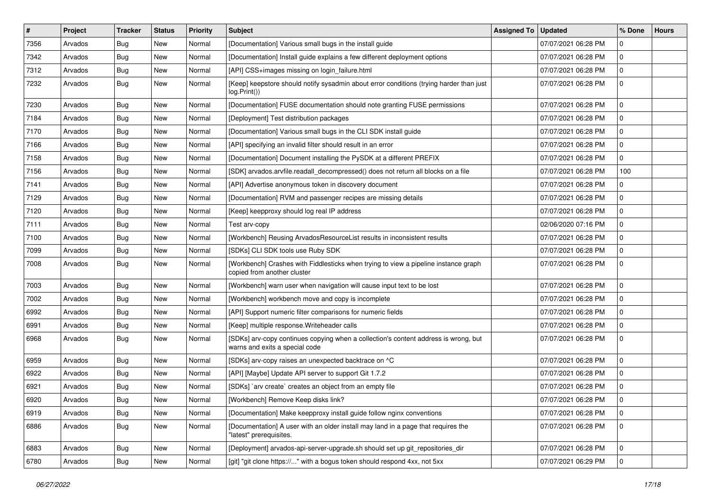| #    | <b>Project</b> | <b>Tracker</b> | <b>Status</b> | <b>Priority</b> | <b>Subject</b>                                                                                                        | Assigned To | <b>Updated</b>      | % Done      | <b>Hours</b> |
|------|----------------|----------------|---------------|-----------------|-----------------------------------------------------------------------------------------------------------------------|-------------|---------------------|-------------|--------------|
| 7356 | Arvados        | <b>Bug</b>     | New           | Normal          | [Documentation] Various small bugs in the install guide                                                               |             | 07/07/2021 06:28 PM | $\mathbf 0$ |              |
| 7342 | Arvados        | <b>Bug</b>     | New           | Normal          | [Documentation] Install guide explains a few different deployment options                                             |             | 07/07/2021 06:28 PM | $\mathbf 0$ |              |
| 7312 | Arvados        | <b>Bug</b>     | New           | Normal          | [API] CSS+images missing on login_failure.html                                                                        |             | 07/07/2021 06:28 PM | $\mathbf 0$ |              |
| 7232 | Arvados        | <b>Bug</b>     | New           | Normal          | [Keep] keepstore should notify sysadmin about error conditions (trying harder than just<br>log.Print())               |             | 07/07/2021 06:28 PM | $\mathbf 0$ |              |
| 7230 | Arvados        | <b>Bug</b>     | New           | Normal          | [Documentation] FUSE documentation should note granting FUSE permissions                                              |             | 07/07/2021 06:28 PM | 0           |              |
| 7184 | Arvados        | <b>Bug</b>     | New           | Normal          | [Deployment] Test distribution packages                                                                               |             | 07/07/2021 06:28 PM | $\mathbf 0$ |              |
| 7170 | Arvados        | <b>Bug</b>     | New           | Normal          | [Documentation] Various small bugs in the CLI SDK install guide                                                       |             | 07/07/2021 06:28 PM | 0           |              |
| 7166 | Arvados        | <b>Bug</b>     | New           | Normal          | [API] specifying an invalid filter should result in an error                                                          |             | 07/07/2021 06:28 PM | $\mathbf 0$ |              |
| 7158 | Arvados        | <b>Bug</b>     | <b>New</b>    | Normal          | [Documentation] Document installing the PySDK at a different PREFIX                                                   |             | 07/07/2021 06:28 PM | 0           |              |
| 7156 | Arvados        | <b>Bug</b>     | New           | Normal          | [SDK] arvados.arvfile.readall_decompressed() does not return all blocks on a file                                     |             | 07/07/2021 06:28 PM | 100         |              |
| 7141 | Arvados        | Bug            | New           | Normal          | [API] Advertise anonymous token in discovery document                                                                 |             | 07/07/2021 06:28 PM | $\mathbf 0$ |              |
| 7129 | Arvados        | <b>Bug</b>     | New           | Normal          | [Documentation] RVM and passenger recipes are missing details                                                         |             | 07/07/2021 06:28 PM | 0           |              |
| 7120 | Arvados        | <b>Bug</b>     | New           | Normal          | [Keep] keepproxy should log real IP address                                                                           |             | 07/07/2021 06:28 PM | $\mathbf 0$ |              |
| 7111 | Arvados        | <b>Bug</b>     | New           | Normal          | Test arv-copy                                                                                                         |             | 02/06/2020 07:16 PM | 0           |              |
| 7100 | Arvados        | <b>Bug</b>     | New           | Normal          | [Workbench] Reusing ArvadosResourceList results in inconsistent results                                               |             | 07/07/2021 06:28 PM | $\mathbf 0$ |              |
| 7099 | Arvados        | Bug            | New           | Normal          | [SDKs] CLI SDK tools use Ruby SDK                                                                                     |             | 07/07/2021 06:28 PM | $\mathbf 0$ |              |
| 7008 | Arvados        | <b>Bug</b>     | New           | Normal          | [Workbench] Crashes with Fiddlesticks when trying to view a pipeline instance graph<br>copied from another cluster    |             | 07/07/2021 06:28 PM | $\mathbf 0$ |              |
| 7003 | Arvados        | Bug            | New           | Normal          | [Workbench] warn user when navigation will cause input text to be lost                                                |             | 07/07/2021 06:28 PM | $\mathbf 0$ |              |
| 7002 | Arvados        | Bug            | New           | Normal          | [Workbench] workbench move and copy is incomplete                                                                     |             | 07/07/2021 06:28 PM | 0           |              |
| 6992 | Arvados        | <b>Bug</b>     | New           | Normal          | [API] Support numeric filter comparisons for numeric fields                                                           |             | 07/07/2021 06:28 PM | $\mathbf 0$ |              |
| 6991 | Arvados        | <b>Bug</b>     | New           | Normal          | [Keep] multiple response. Writeheader calls                                                                           |             | 07/07/2021 06:28 PM | 0           |              |
| 6968 | Arvados        | <b>Bug</b>     | New           | Normal          | [SDKs] arv-copy continues copying when a collection's content address is wrong, but<br>warns and exits a special code |             | 07/07/2021 06:28 PM | 0           |              |
| 6959 | Arvados        | <b>Bug</b>     | New           | Normal          | [SDKs] arv-copy raises an unexpected backtrace on ^C                                                                  |             | 07/07/2021 06:28 PM | $\mathbf 0$ |              |
| 6922 | Arvados        | Bug            | New           | Normal          | [API] [Maybe] Update API server to support Git 1.7.2                                                                  |             | 07/07/2021 06:28 PM | 0           |              |
| 6921 | Arvados        | <b>Bug</b>     | New           | Normal          | [SDKs] `arv create` creates an object from an empty file                                                              |             | 07/07/2021 06:28 PM | $\mathbf 0$ |              |
| 6920 | Arvados        | i Bug          | New           | Normal          | [Workbench] Remove Keep disks link?                                                                                   |             | 07/07/2021 06:28 PM | $\Omega$    |              |
| 6919 | Arvados        | Bug            | New           | Normal          | [Documentation] Make keepproxy install guide follow nginx conventions                                                 |             | 07/07/2021 06:28 PM | $\mathbf 0$ |              |
| 6886 | Arvados        | <b>Bug</b>     | New           | Normal          | [Documentation] A user with an older install may land in a page that requires the<br>"latest" prerequisites.          |             | 07/07/2021 06:28 PM | $\mathbf 0$ |              |
| 6883 | Arvados        | Bug            | New           | Normal          | [Deployment] arvados-api-server-upgrade.sh should set up git_repositories_dir                                         |             | 07/07/2021 06:28 PM | 0           |              |
| 6780 | Arvados        | <b>Bug</b>     | New           | Normal          | [git] "git clone https://" with a bogus token should respond 4xx, not 5xx                                             |             | 07/07/2021 06:29 PM | $\mathbf 0$ |              |